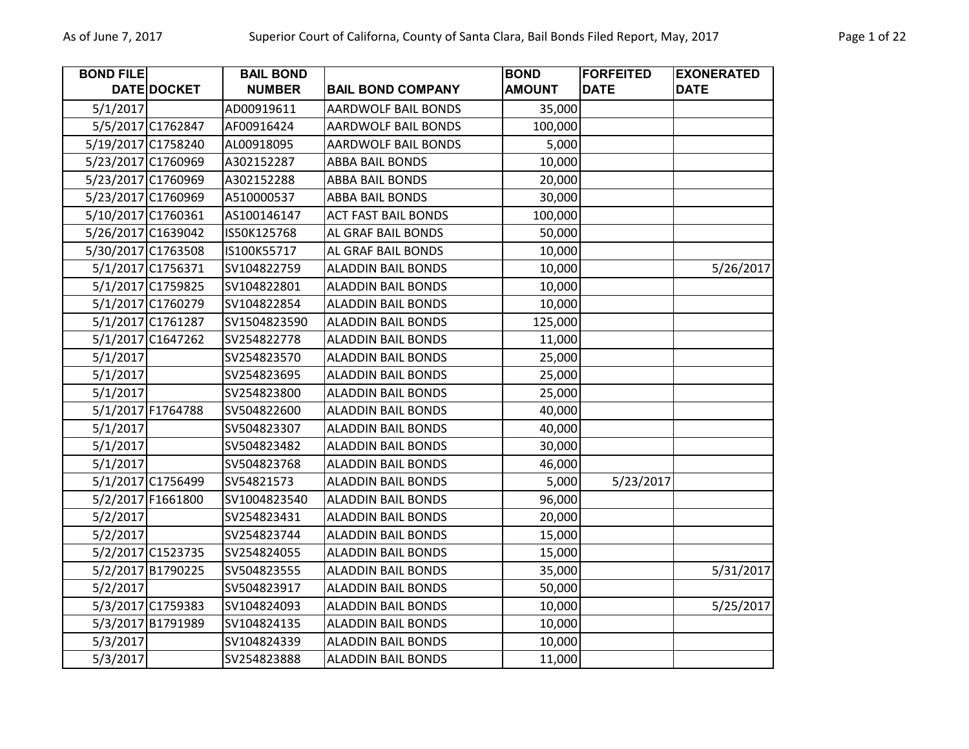| Page 1 of 22 |  |  |
|--------------|--|--|
|              |  |  |

| <b>BOND FILE</b> |                    | <b>BAIL BOND</b> |                            | <b>BOND</b>   | <b>FORFEITED</b> | <b>EXONERATED</b> |
|------------------|--------------------|------------------|----------------------------|---------------|------------------|-------------------|
|                  | DATE DOCKET        | <b>NUMBER</b>    | <b>BAIL BOND COMPANY</b>   | <b>AMOUNT</b> | <b>DATE</b>      | <b>DATE</b>       |
| 5/1/2017         |                    | AD00919611       | <b>AARDWOLF BAIL BONDS</b> | 35,000        |                  |                   |
|                  | 5/5/2017 C1762847  | AF00916424       | AARDWOLF BAIL BONDS        | 100,000       |                  |                   |
|                  | 5/19/2017 C1758240 | AL00918095       | AARDWOLF BAIL BONDS        | 5,000         |                  |                   |
|                  | 5/23/2017 C1760969 | A302152287       | ABBA BAIL BONDS            | 10,000        |                  |                   |
|                  | 5/23/2017 C1760969 | A302152288       | ABBA BAIL BONDS            | 20,000        |                  |                   |
|                  | 5/23/2017 C1760969 | A510000537       | <b>ABBA BAIL BONDS</b>     | 30,000        |                  |                   |
|                  | 5/10/2017 C1760361 | AS100146147      | <b>ACT FAST BAIL BONDS</b> | 100,000       |                  |                   |
|                  | 5/26/2017 C1639042 | IS50K125768      | AL GRAF BAIL BONDS         | 50,000        |                  |                   |
|                  | 5/30/2017 C1763508 | IS100K55717      | AL GRAF BAIL BONDS         | 10,000        |                  |                   |
|                  | 5/1/2017 C1756371  | SV104822759      | <b>ALADDIN BAIL BONDS</b>  | 10,000        |                  | 5/26/2017         |
|                  | 5/1/2017 C1759825  | SV104822801      | <b>ALADDIN BAIL BONDS</b>  | 10,000        |                  |                   |
|                  | 5/1/2017 C1760279  | SV104822854      | <b>ALADDIN BAIL BONDS</b>  | 10,000        |                  |                   |
|                  | 5/1/2017 C1761287  | SV1504823590     | <b>ALADDIN BAIL BONDS</b>  | 125,000       |                  |                   |
|                  | 5/1/2017 C1647262  | SV254822778      | <b>ALADDIN BAIL BONDS</b>  | 11,000        |                  |                   |
| 5/1/2017         |                    | SV254823570      | <b>ALADDIN BAIL BONDS</b>  | 25,000        |                  |                   |
| 5/1/2017         |                    | SV254823695      | <b>ALADDIN BAIL BONDS</b>  | 25,000        |                  |                   |
| 5/1/2017         |                    | SV254823800      | <b>ALADDIN BAIL BONDS</b>  | 25,000        |                  |                   |
|                  | 5/1/2017 F1764788  | SV504822600      | <b>ALADDIN BAIL BONDS</b>  | 40,000        |                  |                   |
| 5/1/2017         |                    | SV504823307      | <b>ALADDIN BAIL BONDS</b>  | 40,000        |                  |                   |
| 5/1/2017         |                    | SV504823482      | <b>ALADDIN BAIL BONDS</b>  | 30,000        |                  |                   |
| 5/1/2017         |                    | SV504823768      | ALADDIN BAIL BONDS         | 46,000        |                  |                   |
|                  | 5/1/2017 C1756499  | SV54821573       | <b>ALADDIN BAIL BONDS</b>  | 5,000         | 5/23/2017        |                   |
|                  | 5/2/2017 F1661800  | SV1004823540     | <b>ALADDIN BAIL BONDS</b>  | 96,000        |                  |                   |
| 5/2/2017         |                    | SV254823431      | <b>ALADDIN BAIL BONDS</b>  | 20,000        |                  |                   |
| 5/2/2017         |                    | SV254823744      | <b>ALADDIN BAIL BONDS</b>  | 15,000        |                  |                   |
|                  | 5/2/2017 C1523735  | SV254824055      | <b>ALADDIN BAIL BONDS</b>  | 15,000        |                  |                   |
|                  | 5/2/2017 B1790225  | SV504823555      | <b>ALADDIN BAIL BONDS</b>  | 35,000        |                  | 5/31/2017         |
| 5/2/2017         |                    | SV504823917      | <b>ALADDIN BAIL BONDS</b>  | 50,000        |                  |                   |
|                  | 5/3/2017 C1759383  | SV104824093      | <b>ALADDIN BAIL BONDS</b>  | 10,000        |                  | 5/25/2017         |
|                  | 5/3/2017 B1791989  | SV104824135      | <b>ALADDIN BAIL BONDS</b>  | 10,000        |                  |                   |
| 5/3/2017         |                    | SV104824339      | <b>ALADDIN BAIL BONDS</b>  | 10,000        |                  |                   |
| 5/3/2017         |                    | SV254823888      | <b>ALADDIN BAIL BONDS</b>  | 11,000        |                  |                   |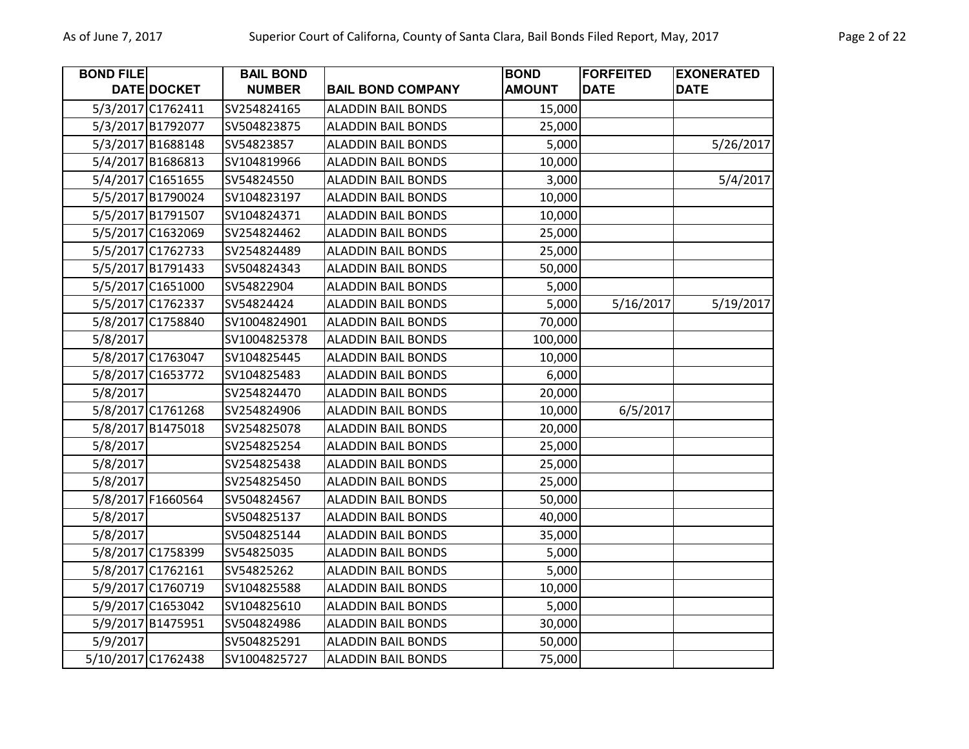| <b>BOND FILE</b> |                    | <b>BAIL BOND</b> |                           | <b>BOND</b>   | <b>FORFEITED</b> | <b>EXONERATED</b> |
|------------------|--------------------|------------------|---------------------------|---------------|------------------|-------------------|
|                  | <b>DATE DOCKET</b> | <b>NUMBER</b>    | <b>BAIL BOND COMPANY</b>  | <b>AMOUNT</b> | <b>DATE</b>      | <b>DATE</b>       |
|                  | 5/3/2017 C1762411  | SV254824165      | <b>ALADDIN BAIL BONDS</b> | 15,000        |                  |                   |
|                  | 5/3/2017 B1792077  | SV504823875      | <b>ALADDIN BAIL BONDS</b> | 25,000        |                  |                   |
|                  | 5/3/2017 B1688148  | SV54823857       | <b>ALADDIN BAIL BONDS</b> | 5,000         |                  | 5/26/2017         |
|                  | 5/4/2017 B1686813  | SV104819966      | <b>ALADDIN BAIL BONDS</b> | 10,000        |                  |                   |
|                  | 5/4/2017 C1651655  | SV54824550       | <b>ALADDIN BAIL BONDS</b> | 3,000         |                  | 5/4/2017          |
|                  | 5/5/2017 B1790024  | SV104823197      | <b>ALADDIN BAIL BONDS</b> | 10,000        |                  |                   |
|                  | 5/5/2017 B1791507  | SV104824371      | <b>ALADDIN BAIL BONDS</b> | 10,000        |                  |                   |
|                  | 5/5/2017 C1632069  | SV254824462      | <b>ALADDIN BAIL BONDS</b> | 25,000        |                  |                   |
|                  | 5/5/2017 C1762733  | SV254824489      | <b>ALADDIN BAIL BONDS</b> | 25,000        |                  |                   |
|                  | 5/5/2017 B1791433  | SV504824343      | <b>ALADDIN BAIL BONDS</b> | 50,000        |                  |                   |
|                  | 5/5/2017 C1651000  | SV54822904       | <b>ALADDIN BAIL BONDS</b> | 5,000         |                  |                   |
|                  | 5/5/2017 C1762337  | SV54824424       | <b>ALADDIN BAIL BONDS</b> | 5,000         | 5/16/2017        | 5/19/2017         |
|                  | 5/8/2017 C1758840  | SV1004824901     | <b>ALADDIN BAIL BONDS</b> | 70,000        |                  |                   |
| 5/8/2017         |                    | SV1004825378     | <b>ALADDIN BAIL BONDS</b> | 100,000       |                  |                   |
|                  | 5/8/2017 C1763047  | SV104825445      | <b>ALADDIN BAIL BONDS</b> | 10,000        |                  |                   |
|                  | 5/8/2017 C1653772  | SV104825483      | <b>ALADDIN BAIL BONDS</b> | 6,000         |                  |                   |
| 5/8/2017         |                    | SV254824470      | <b>ALADDIN BAIL BONDS</b> | 20,000        |                  |                   |
|                  | 5/8/2017 C1761268  | SV254824906      | <b>ALADDIN BAIL BONDS</b> | 10,000        | 6/5/2017         |                   |
|                  | 5/8/2017 B1475018  | SV254825078      | <b>ALADDIN BAIL BONDS</b> | 20,000        |                  |                   |
| 5/8/2017         |                    | SV254825254      | <b>ALADDIN BAIL BONDS</b> | 25,000        |                  |                   |
| 5/8/2017         |                    | SV254825438      | <b>ALADDIN BAIL BONDS</b> | 25,000        |                  |                   |
| 5/8/2017         |                    | SV254825450      | <b>ALADDIN BAIL BONDS</b> | 25,000        |                  |                   |
|                  | 5/8/2017 F1660564  | SV504824567      | <b>ALADDIN BAIL BONDS</b> | 50,000        |                  |                   |
| 5/8/2017         |                    | SV504825137      | <b>ALADDIN BAIL BONDS</b> | 40,000        |                  |                   |
| 5/8/2017         |                    | SV504825144      | <b>ALADDIN BAIL BONDS</b> | 35,000        |                  |                   |
|                  | 5/8/2017 C1758399  | SV54825035       | <b>ALADDIN BAIL BONDS</b> | 5,000         |                  |                   |
|                  | 5/8/2017 C1762161  | SV54825262       | <b>ALADDIN BAIL BONDS</b> | 5,000         |                  |                   |
|                  | 5/9/2017 C1760719  | SV104825588      | <b>ALADDIN BAIL BONDS</b> | 10,000        |                  |                   |
|                  | 5/9/2017 C1653042  | SV104825610      | <b>ALADDIN BAIL BONDS</b> | 5,000         |                  |                   |
|                  | 5/9/2017 B1475951  | SV504824986      | <b>ALADDIN BAIL BONDS</b> | 30,000        |                  |                   |
| 5/9/2017         |                    | SV504825291      | <b>ALADDIN BAIL BONDS</b> | 50,000        |                  |                   |
|                  | 5/10/2017 C1762438 | SV1004825727     | <b>ALADDIN BAIL BONDS</b> | 75,000        |                  |                   |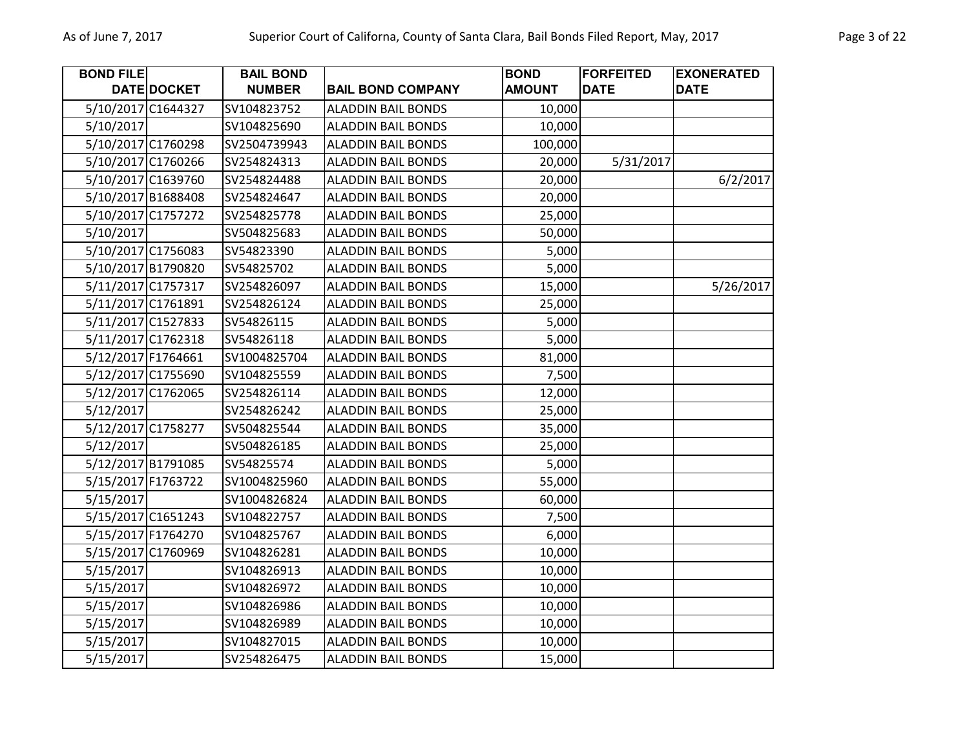| <b>BOND FILE</b> |                    | <b>BAIL BOND</b> |                           | <b>BOND</b>   | <b>FORFEITED</b> | <b>EXONERATED</b> |
|------------------|--------------------|------------------|---------------------------|---------------|------------------|-------------------|
|                  | DATE DOCKET        | <b>NUMBER</b>    | <b>BAIL BOND COMPANY</b>  | <b>AMOUNT</b> | <b>DATE</b>      | <b>DATE</b>       |
|                  | 5/10/2017 C1644327 | SV104823752      | <b>ALADDIN BAIL BONDS</b> | 10,000        |                  |                   |
| 5/10/2017        |                    | SV104825690      | <b>ALADDIN BAIL BONDS</b> | 10,000        |                  |                   |
|                  | 5/10/2017 C1760298 | SV2504739943     | <b>ALADDIN BAIL BONDS</b> | 100,000       |                  |                   |
|                  | 5/10/2017 C1760266 | SV254824313      | <b>ALADDIN BAIL BONDS</b> | 20,000        | 5/31/2017        |                   |
|                  | 5/10/2017 C1639760 | SV254824488      | <b>ALADDIN BAIL BONDS</b> | 20,000        |                  | 6/2/2017          |
|                  | 5/10/2017 B1688408 | SV254824647      | <b>ALADDIN BAIL BONDS</b> | 20,000        |                  |                   |
|                  | 5/10/2017 C1757272 | SV254825778      | <b>ALADDIN BAIL BONDS</b> | 25,000        |                  |                   |
| 5/10/2017        |                    | SV504825683      | <b>ALADDIN BAIL BONDS</b> | 50,000        |                  |                   |
|                  | 5/10/2017 C1756083 | SV54823390       | <b>ALADDIN BAIL BONDS</b> | 5,000         |                  |                   |
|                  | 5/10/2017 B1790820 | SV54825702       | <b>ALADDIN BAIL BONDS</b> | 5,000         |                  |                   |
|                  | 5/11/2017 C1757317 | SV254826097      | <b>ALADDIN BAIL BONDS</b> | 15,000        |                  | 5/26/2017         |
|                  | 5/11/2017 C1761891 | SV254826124      | <b>ALADDIN BAIL BONDS</b> | 25,000        |                  |                   |
|                  | 5/11/2017 C1527833 | SV54826115       | <b>ALADDIN BAIL BONDS</b> | 5,000         |                  |                   |
|                  | 5/11/2017 C1762318 | SV54826118       | <b>ALADDIN BAIL BONDS</b> | 5,000         |                  |                   |
|                  | 5/12/2017 F1764661 | SV1004825704     | <b>ALADDIN BAIL BONDS</b> | 81,000        |                  |                   |
|                  | 5/12/2017 C1755690 | SV104825559      | <b>ALADDIN BAIL BONDS</b> | 7,500         |                  |                   |
|                  | 5/12/2017 C1762065 | SV254826114      | <b>ALADDIN BAIL BONDS</b> | 12,000        |                  |                   |
| 5/12/2017        |                    | SV254826242      | <b>ALADDIN BAIL BONDS</b> | 25,000        |                  |                   |
|                  | 5/12/2017 C1758277 | SV504825544      | <b>ALADDIN BAIL BONDS</b> | 35,000        |                  |                   |
| 5/12/2017        |                    | SV504826185      | <b>ALADDIN BAIL BONDS</b> | 25,000        |                  |                   |
|                  | 5/12/2017 B1791085 | SV54825574       | <b>ALADDIN BAIL BONDS</b> | 5,000         |                  |                   |
|                  | 5/15/2017 F1763722 | SV1004825960     | <b>ALADDIN BAIL BONDS</b> | 55,000        |                  |                   |
| 5/15/2017        |                    | SV1004826824     | <b>ALADDIN BAIL BONDS</b> | 60,000        |                  |                   |
|                  | 5/15/2017 C1651243 | SV104822757      | <b>ALADDIN BAIL BONDS</b> | 7,500         |                  |                   |
|                  | 5/15/2017 F1764270 | SV104825767      | <b>ALADDIN BAIL BONDS</b> | 6,000         |                  |                   |
|                  | 5/15/2017 C1760969 | SV104826281      | <b>ALADDIN BAIL BONDS</b> | 10,000        |                  |                   |
| 5/15/2017        |                    | SV104826913      | <b>ALADDIN BAIL BONDS</b> | 10,000        |                  |                   |
| 5/15/2017        |                    | SV104826972      | <b>ALADDIN BAIL BONDS</b> | 10,000        |                  |                   |
| 5/15/2017        |                    | SV104826986      | <b>ALADDIN BAIL BONDS</b> | 10,000        |                  |                   |
| 5/15/2017        |                    | SV104826989      | <b>ALADDIN BAIL BONDS</b> | 10,000        |                  |                   |
| 5/15/2017        |                    | SV104827015      | <b>ALADDIN BAIL BONDS</b> | 10,000        |                  |                   |
| 5/15/2017        |                    | SV254826475      | <b>ALADDIN BAIL BONDS</b> | 15,000        |                  |                   |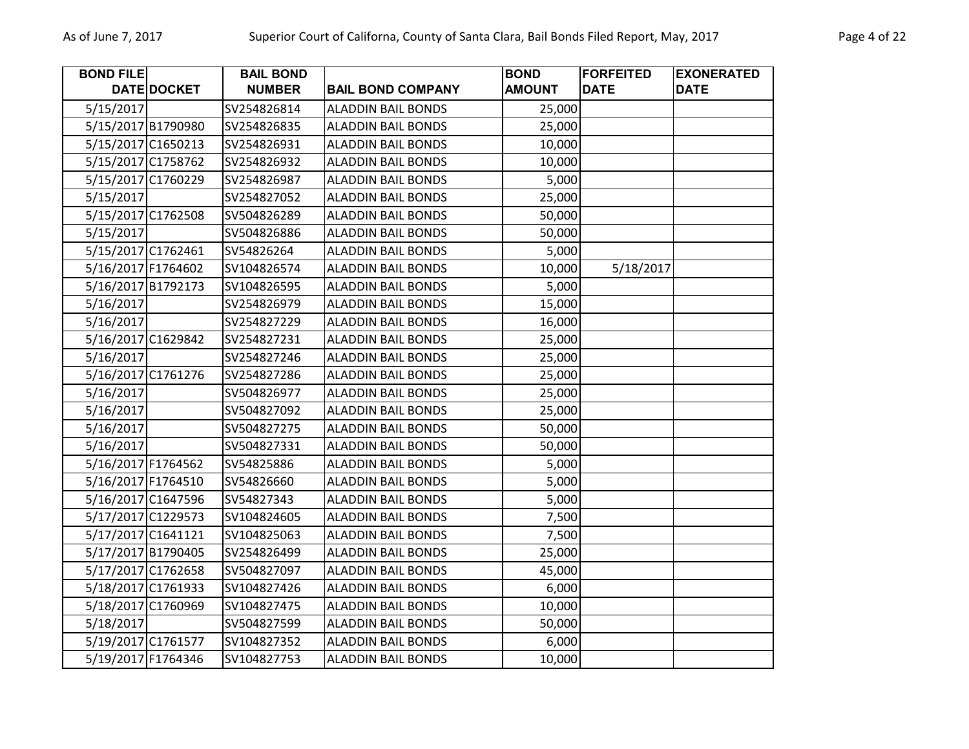| Page 4 of 22 |  |
|--------------|--|
|--------------|--|

| <b>BOND FILE</b>   |                    | <b>BAIL BOND</b> |                           | <b>BOND</b>   | <b>FORFEITED</b> | <b>EXONERATED</b> |
|--------------------|--------------------|------------------|---------------------------|---------------|------------------|-------------------|
|                    | <b>DATE DOCKET</b> | <b>NUMBER</b>    | <b>BAIL BOND COMPANY</b>  | <b>AMOUNT</b> | <b>DATE</b>      | <b>DATE</b>       |
| 5/15/2017          |                    | SV254826814      | <b>ALADDIN BAIL BONDS</b> | 25,000        |                  |                   |
|                    | 5/15/2017 B1790980 | SV254826835      | <b>ALADDIN BAIL BONDS</b> | 25,000        |                  |                   |
|                    | 5/15/2017 C1650213 | SV254826931      | <b>ALADDIN BAIL BONDS</b> | 10,000        |                  |                   |
|                    | 5/15/2017 C1758762 | SV254826932      | <b>ALADDIN BAIL BONDS</b> | 10,000        |                  |                   |
|                    | 5/15/2017 C1760229 | SV254826987      | <b>ALADDIN BAIL BONDS</b> | 5,000         |                  |                   |
| 5/15/2017          |                    | SV254827052      | <b>ALADDIN BAIL BONDS</b> | 25,000        |                  |                   |
|                    | 5/15/2017 C1762508 | SV504826289      | <b>ALADDIN BAIL BONDS</b> | 50,000        |                  |                   |
| 5/15/2017          |                    | SV504826886      | <b>ALADDIN BAIL BONDS</b> | 50,000        |                  |                   |
|                    | 5/15/2017 C1762461 | SV54826264       | <b>ALADDIN BAIL BONDS</b> | 5,000         |                  |                   |
| 5/16/2017 F1764602 |                    | SV104826574      | <b>ALADDIN BAIL BONDS</b> | 10,000        | 5/18/2017        |                   |
|                    | 5/16/2017 B1792173 | SV104826595      | <b>ALADDIN BAIL BONDS</b> | 5,000         |                  |                   |
| 5/16/2017          |                    | SV254826979      | <b>ALADDIN BAIL BONDS</b> | 15,000        |                  |                   |
| 5/16/2017          |                    | SV254827229      | <b>ALADDIN BAIL BONDS</b> | 16,000        |                  |                   |
|                    | 5/16/2017 C1629842 | SV254827231      | <b>ALADDIN BAIL BONDS</b> | 25,000        |                  |                   |
| 5/16/2017          |                    | SV254827246      | <b>ALADDIN BAIL BONDS</b> | 25,000        |                  |                   |
|                    | 5/16/2017 C1761276 | SV254827286      | <b>ALADDIN BAIL BONDS</b> | 25,000        |                  |                   |
| 5/16/2017          |                    | SV504826977      | <b>ALADDIN BAIL BONDS</b> | 25,000        |                  |                   |
| 5/16/2017          |                    | SV504827092      | <b>ALADDIN BAIL BONDS</b> | 25,000        |                  |                   |
| 5/16/2017          |                    | SV504827275      | <b>ALADDIN BAIL BONDS</b> | 50,000        |                  |                   |
| 5/16/2017          |                    | SV504827331      | <b>ALADDIN BAIL BONDS</b> | 50,000        |                  |                   |
|                    | 5/16/2017 F1764562 | SV54825886       | <b>ALADDIN BAIL BONDS</b> | 5,000         |                  |                   |
|                    | 5/16/2017 F1764510 | SV54826660       | <b>ALADDIN BAIL BONDS</b> | 5,000         |                  |                   |
|                    | 5/16/2017 C1647596 | SV54827343       | <b>ALADDIN BAIL BONDS</b> | 5,000         |                  |                   |
|                    | 5/17/2017 C1229573 | SV104824605      | <b>ALADDIN BAIL BONDS</b> | 7,500         |                  |                   |
|                    | 5/17/2017 C1641121 | SV104825063      | <b>ALADDIN BAIL BONDS</b> | 7,500         |                  |                   |
|                    | 5/17/2017 B1790405 | SV254826499      | <b>ALADDIN BAIL BONDS</b> | 25,000        |                  |                   |
|                    | 5/17/2017 C1762658 | SV504827097      | <b>ALADDIN BAIL BONDS</b> | 45,000        |                  |                   |
|                    | 5/18/2017 C1761933 | SV104827426      | <b>ALADDIN BAIL BONDS</b> | 6,000         |                  |                   |
|                    | 5/18/2017 C1760969 | SV104827475      | <b>ALADDIN BAIL BONDS</b> | 10,000        |                  |                   |
| 5/18/2017          |                    | SV504827599      | <b>ALADDIN BAIL BONDS</b> | 50,000        |                  |                   |
|                    | 5/19/2017 C1761577 | SV104827352      | <b>ALADDIN BAIL BONDS</b> | 6,000         |                  |                   |
|                    | 5/19/2017 F1764346 | SV104827753      | <b>ALADDIN BAIL BONDS</b> | 10,000        |                  |                   |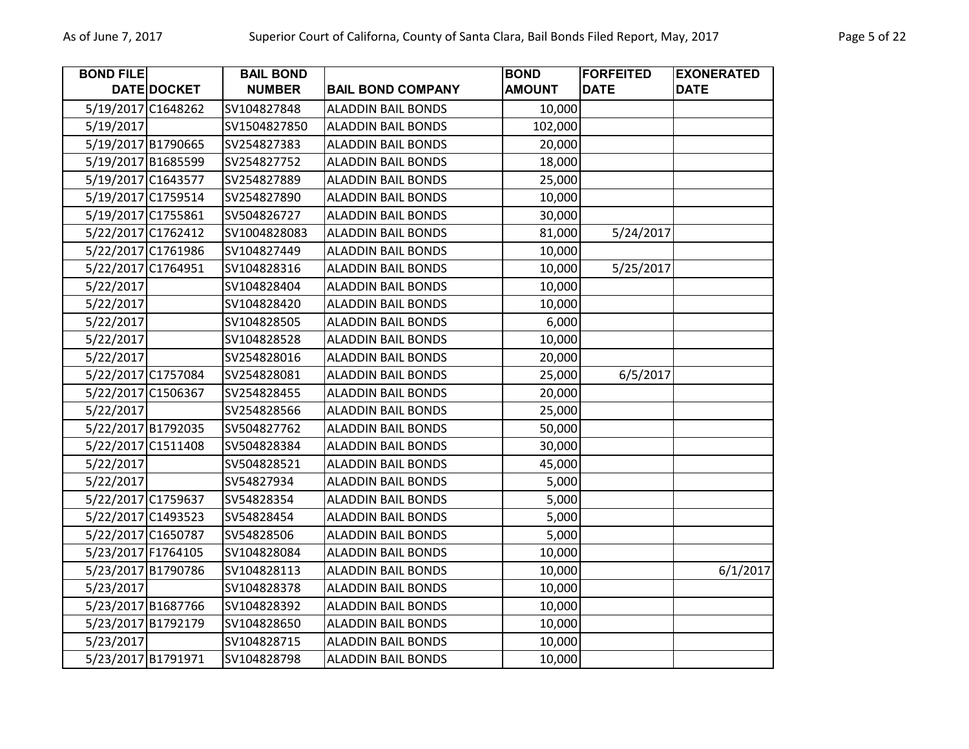| <b>BOND FILE</b>   |                    | <b>BAIL BOND</b> |                           | <b>BOND</b>   | <b>FORFEITED</b> | <b>EXONERATED</b> |
|--------------------|--------------------|------------------|---------------------------|---------------|------------------|-------------------|
|                    | DATE DOCKET        | <b>NUMBER</b>    | <b>BAIL BOND COMPANY</b>  | <b>AMOUNT</b> | <b>DATE</b>      | <b>DATE</b>       |
| 5/19/2017 C1648262 |                    | SV104827848      | <b>ALADDIN BAIL BONDS</b> | 10,000        |                  |                   |
| 5/19/2017          |                    | SV1504827850     | <b>ALADDIN BAIL BONDS</b> | 102,000       |                  |                   |
| 5/19/2017 B1790665 |                    | SV254827383      | <b>ALADDIN BAIL BONDS</b> | 20,000        |                  |                   |
| 5/19/2017 B1685599 |                    | SV254827752      | <b>ALADDIN BAIL BONDS</b> | 18,000        |                  |                   |
| 5/19/2017 C1643577 |                    | SV254827889      | <b>ALADDIN BAIL BONDS</b> | 25,000        |                  |                   |
| 5/19/2017 C1759514 |                    | SV254827890      | <b>ALADDIN BAIL BONDS</b> | 10,000        |                  |                   |
| 5/19/2017 C1755861 |                    | SV504826727      | <b>ALADDIN BAIL BONDS</b> | 30,000        |                  |                   |
|                    | 5/22/2017 C1762412 | SV1004828083     | <b>ALADDIN BAIL BONDS</b> | 81,000        | 5/24/2017        |                   |
|                    | 5/22/2017 C1761986 | SV104827449      | <b>ALADDIN BAIL BONDS</b> | 10,000        |                  |                   |
| 5/22/2017 C1764951 |                    | SV104828316      | <b>ALADDIN BAIL BONDS</b> | 10,000        | 5/25/2017        |                   |
| 5/22/2017          |                    | SV104828404      | <b>ALADDIN BAIL BONDS</b> | 10,000        |                  |                   |
| 5/22/2017          |                    | SV104828420      | <b>ALADDIN BAIL BONDS</b> | 10,000        |                  |                   |
| 5/22/2017          |                    | SV104828505      | <b>ALADDIN BAIL BONDS</b> | 6,000         |                  |                   |
| 5/22/2017          |                    | SV104828528      | <b>ALADDIN BAIL BONDS</b> | 10,000        |                  |                   |
| 5/22/2017          |                    | SV254828016      | <b>ALADDIN BAIL BONDS</b> | 20,000        |                  |                   |
| 5/22/2017 C1757084 |                    | SV254828081      | <b>ALADDIN BAIL BONDS</b> | 25,000        | 6/5/2017         |                   |
| 5/22/2017 C1506367 |                    | SV254828455      | <b>ALADDIN BAIL BONDS</b> | 20,000        |                  |                   |
| 5/22/2017          |                    | SV254828566      | <b>ALADDIN BAIL BONDS</b> | 25,000        |                  |                   |
| 5/22/2017 B1792035 |                    | SV504827762      | <b>ALADDIN BAIL BONDS</b> | 50,000        |                  |                   |
|                    | 5/22/2017 C1511408 | SV504828384      | <b>ALADDIN BAIL BONDS</b> | 30,000        |                  |                   |
| 5/22/2017          |                    | SV504828521      | <b>ALADDIN BAIL BONDS</b> | 45,000        |                  |                   |
| 5/22/2017          |                    | SV54827934       | <b>ALADDIN BAIL BONDS</b> | 5,000         |                  |                   |
| 5/22/2017 C1759637 |                    | SV54828354       | <b>ALADDIN BAIL BONDS</b> | 5,000         |                  |                   |
| 5/22/2017 C1493523 |                    | SV54828454       | <b>ALADDIN BAIL BONDS</b> | 5,000         |                  |                   |
| 5/22/2017 C1650787 |                    | SV54828506       | <b>ALADDIN BAIL BONDS</b> | 5,000         |                  |                   |
| 5/23/2017 F1764105 |                    | SV104828084      | <b>ALADDIN BAIL BONDS</b> | 10,000        |                  |                   |
|                    | 5/23/2017 B1790786 | SV104828113      | <b>ALADDIN BAIL BONDS</b> | 10,000        |                  | 6/1/2017          |
| 5/23/2017          |                    | SV104828378      | <b>ALADDIN BAIL BONDS</b> | 10,000        |                  |                   |
| 5/23/2017 B1687766 |                    | SV104828392      | <b>ALADDIN BAIL BONDS</b> | 10,000        |                  |                   |
| 5/23/2017 B1792179 |                    | SV104828650      | <b>ALADDIN BAIL BONDS</b> | 10,000        |                  |                   |
| 5/23/2017          |                    | SV104828715      | <b>ALADDIN BAIL BONDS</b> | 10,000        |                  |                   |
| 5/23/2017 B1791971 |                    | SV104828798      | <b>ALADDIN BAIL BONDS</b> | 10,000        |                  |                   |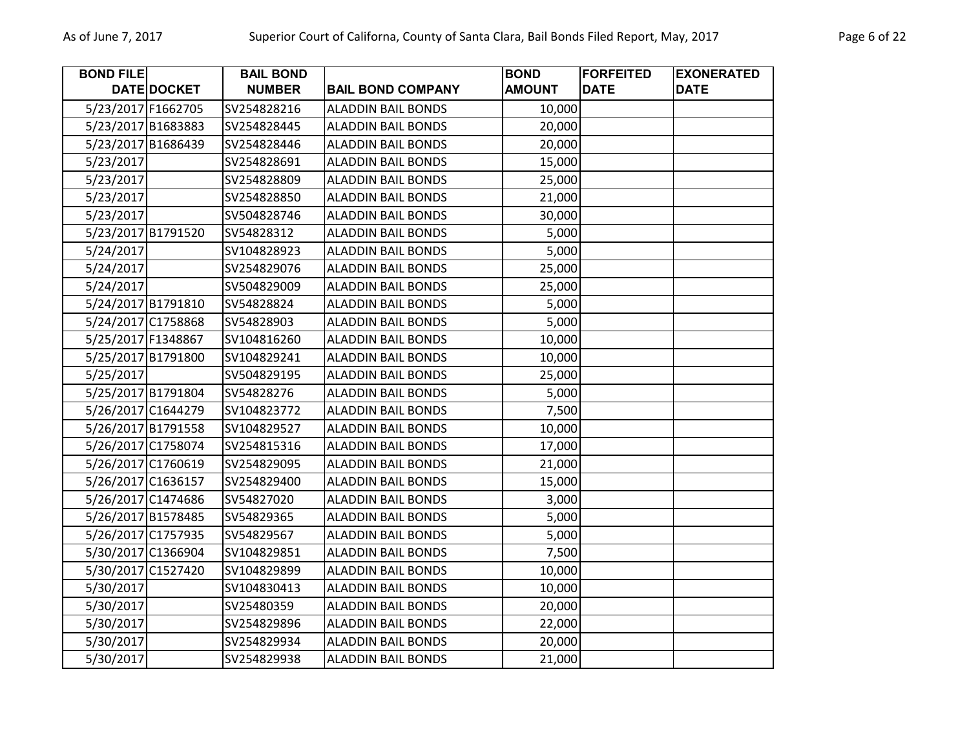| Page 6 of 22 |  |  |
|--------------|--|--|
|              |  |  |

| <b>BOND FILE</b> |                    | <b>BAIL BOND</b> |                           | <b>BOND</b>   | <b>FORFEITED</b> | <b>EXONERATED</b> |
|------------------|--------------------|------------------|---------------------------|---------------|------------------|-------------------|
|                  | DATE DOCKET        | <b>NUMBER</b>    | <b>BAIL BOND COMPANY</b>  | <b>AMOUNT</b> | <b>DATE</b>      | <b>DATE</b>       |
|                  | 5/23/2017 F1662705 | SV254828216      | <b>ALADDIN BAIL BONDS</b> | 10,000        |                  |                   |
|                  | 5/23/2017 B1683883 | SV254828445      | <b>ALADDIN BAIL BONDS</b> | 20,000        |                  |                   |
|                  | 5/23/2017 B1686439 | SV254828446      | <b>ALADDIN BAIL BONDS</b> | 20,000        |                  |                   |
| 5/23/2017        |                    | SV254828691      | <b>ALADDIN BAIL BONDS</b> | 15,000        |                  |                   |
| 5/23/2017        |                    | SV254828809      | <b>ALADDIN BAIL BONDS</b> | 25,000        |                  |                   |
| 5/23/2017        |                    | SV254828850      | <b>ALADDIN BAIL BONDS</b> | 21,000        |                  |                   |
| 5/23/2017        |                    | SV504828746      | <b>ALADDIN BAIL BONDS</b> | 30,000        |                  |                   |
|                  | 5/23/2017 B1791520 | SV54828312       | <b>ALADDIN BAIL BONDS</b> | 5,000         |                  |                   |
| 5/24/2017        |                    | SV104828923      | <b>ALADDIN BAIL BONDS</b> | 5,000         |                  |                   |
| 5/24/2017        |                    | SV254829076      | <b>ALADDIN BAIL BONDS</b> | 25,000        |                  |                   |
| 5/24/2017        |                    | SV504829009      | <b>ALADDIN BAIL BONDS</b> | 25,000        |                  |                   |
|                  | 5/24/2017 B1791810 | SV54828824       | <b>ALADDIN BAIL BONDS</b> | 5,000         |                  |                   |
|                  | 5/24/2017 C1758868 | SV54828903       | <b>ALADDIN BAIL BONDS</b> | 5,000         |                  |                   |
|                  | 5/25/2017 F1348867 | SV104816260      | <b>ALADDIN BAIL BONDS</b> | 10,000        |                  |                   |
|                  | 5/25/2017 B1791800 | SV104829241      | <b>ALADDIN BAIL BONDS</b> | 10,000        |                  |                   |
| 5/25/2017        |                    | SV504829195      | <b>ALADDIN BAIL BONDS</b> | 25,000        |                  |                   |
|                  | 5/25/2017 B1791804 | SV54828276       | <b>ALADDIN BAIL BONDS</b> | 5,000         |                  |                   |
|                  | 5/26/2017 C1644279 | SV104823772      | <b>ALADDIN BAIL BONDS</b> | 7,500         |                  |                   |
|                  | 5/26/2017 B1791558 | SV104829527      | <b>ALADDIN BAIL BONDS</b> | 10,000        |                  |                   |
|                  | 5/26/2017 C1758074 | SV254815316      | <b>ALADDIN BAIL BONDS</b> | 17,000        |                  |                   |
|                  | 5/26/2017 C1760619 | SV254829095      | <b>ALADDIN BAIL BONDS</b> | 21,000        |                  |                   |
|                  | 5/26/2017 C1636157 | SV254829400      | <b>ALADDIN BAIL BONDS</b> | 15,000        |                  |                   |
|                  | 5/26/2017 C1474686 | SV54827020       | <b>ALADDIN BAIL BONDS</b> | 3,000         |                  |                   |
|                  | 5/26/2017 B1578485 | SV54829365       | <b>ALADDIN BAIL BONDS</b> | 5,000         |                  |                   |
|                  | 5/26/2017 C1757935 | SV54829567       | <b>ALADDIN BAIL BONDS</b> | 5,000         |                  |                   |
|                  | 5/30/2017 C1366904 | SV104829851      | <b>ALADDIN BAIL BONDS</b> | 7,500         |                  |                   |
|                  | 5/30/2017 C1527420 | SV104829899      | <b>ALADDIN BAIL BONDS</b> | 10,000        |                  |                   |
| 5/30/2017        |                    | SV104830413      | <b>ALADDIN BAIL BONDS</b> | 10,000        |                  |                   |
| 5/30/2017        |                    | SV25480359       | <b>ALADDIN BAIL BONDS</b> | 20,000        |                  |                   |
| 5/30/2017        |                    | SV254829896      | <b>ALADDIN BAIL BONDS</b> | 22,000        |                  |                   |
| 5/30/2017        |                    | SV254829934      | <b>ALADDIN BAIL BONDS</b> | 20,000        |                  |                   |
| 5/30/2017        |                    | SV254829938      | <b>ALADDIN BAIL BONDS</b> | 21,000        |                  |                   |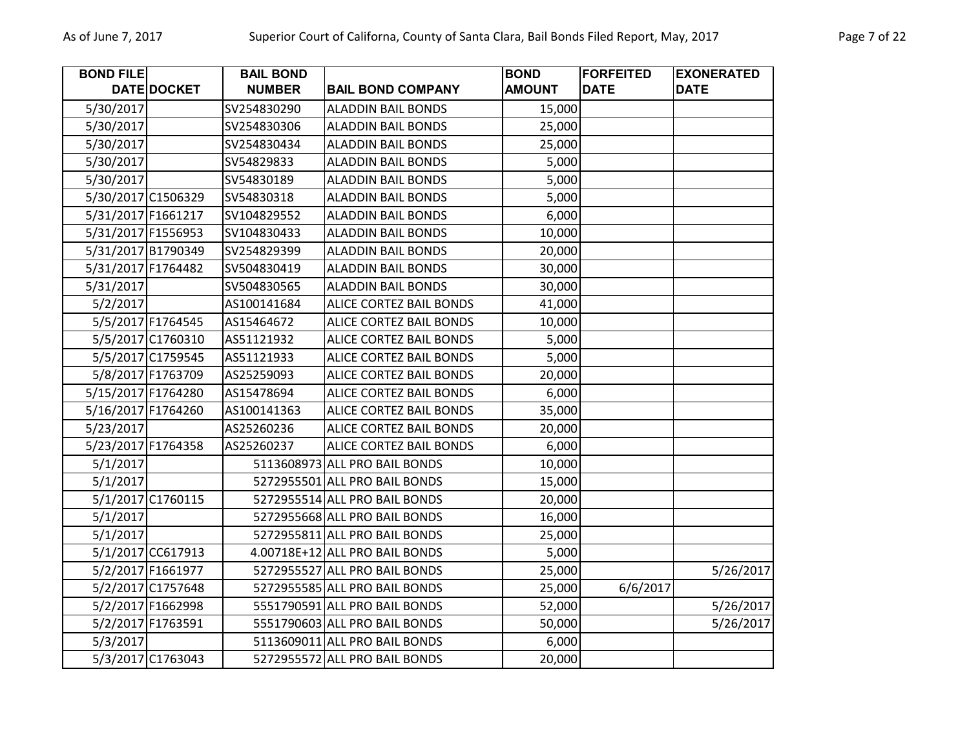| <b>BOND FILE</b>   |                   | <b>BAIL BOND</b> |                                | <b>BOND</b>   | <b>FORFEITED</b> | <b>EXONERATED</b> |
|--------------------|-------------------|------------------|--------------------------------|---------------|------------------|-------------------|
|                    | DATE DOCKET       | <b>NUMBER</b>    | <b>BAIL BOND COMPANY</b>       | <b>AMOUNT</b> | <b>DATE</b>      | <b>DATE</b>       |
| 5/30/2017          |                   | SV254830290      | <b>ALADDIN BAIL BONDS</b>      | 15,000        |                  |                   |
| 5/30/2017          |                   | SV254830306      | <b>ALADDIN BAIL BONDS</b>      | 25,000        |                  |                   |
| 5/30/2017          |                   | SV254830434      | <b>ALADDIN BAIL BONDS</b>      | 25,000        |                  |                   |
| 5/30/2017          |                   | SV54829833       | <b>ALADDIN BAIL BONDS</b>      | 5,000         |                  |                   |
| 5/30/2017          |                   | SV54830189       | <b>ALADDIN BAIL BONDS</b>      | 5,000         |                  |                   |
| 5/30/2017 C1506329 |                   | SV54830318       | <b>ALADDIN BAIL BONDS</b>      | 5,000         |                  |                   |
| 5/31/2017 F1661217 |                   | SV104829552      | <b>ALADDIN BAIL BONDS</b>      | 6,000         |                  |                   |
| 5/31/2017 F1556953 |                   | SV104830433      | <b>ALADDIN BAIL BONDS</b>      | 10,000        |                  |                   |
| 5/31/2017 B1790349 |                   | SV254829399      | <b>ALADDIN BAIL BONDS</b>      | 20,000        |                  |                   |
| 5/31/2017 F1764482 |                   | SV504830419      | <b>ALADDIN BAIL BONDS</b>      | 30,000        |                  |                   |
| 5/31/2017          |                   | SV504830565      | <b>ALADDIN BAIL BONDS</b>      | 30,000        |                  |                   |
| 5/2/2017           |                   | AS100141684      | <b>ALICE CORTEZ BAIL BONDS</b> | 41,000        |                  |                   |
|                    | 5/5/2017 F1764545 | AS15464672       | ALICE CORTEZ BAIL BONDS        | 10,000        |                  |                   |
|                    | 5/5/2017 C1760310 | AS51121932       | <b>ALICE CORTEZ BAIL BONDS</b> | 5,000         |                  |                   |
|                    | 5/5/2017 C1759545 | AS51121933       | ALICE CORTEZ BAIL BONDS        | 5,000         |                  |                   |
|                    | 5/8/2017 F1763709 | AS25259093       | ALICE CORTEZ BAIL BONDS        | 20,000        |                  |                   |
| 5/15/2017 F1764280 |                   | AS15478694       | ALICE CORTEZ BAIL BONDS        | 6,000         |                  |                   |
| 5/16/2017 F1764260 |                   | AS100141363      | ALICE CORTEZ BAIL BONDS        | 35,000        |                  |                   |
| 5/23/2017          |                   | AS25260236       | <b>ALICE CORTEZ BAIL BONDS</b> | 20,000        |                  |                   |
| 5/23/2017 F1764358 |                   | AS25260237       | ALICE CORTEZ BAIL BONDS        | 6,000         |                  |                   |
| 5/1/2017           |                   |                  | 5113608973 ALL PRO BAIL BONDS  | 10,000        |                  |                   |
| 5/1/2017           |                   |                  | 5272955501 ALL PRO BAIL BONDS  | 15,000        |                  |                   |
|                    | 5/1/2017 C1760115 |                  | 5272955514 ALL PRO BAIL BONDS  | 20,000        |                  |                   |
| 5/1/2017           |                   |                  | 5272955668 ALL PRO BAIL BONDS  | 16,000        |                  |                   |
| 5/1/2017           |                   |                  | 5272955811 ALL PRO BAIL BONDS  | 25,000        |                  |                   |
|                    | 5/1/2017 CC617913 |                  | 4.00718E+12 ALL PRO BAIL BONDS | 5,000         |                  |                   |
|                    | 5/2/2017 F1661977 |                  | 5272955527 ALL PRO BAIL BONDS  | 25,000        |                  | 5/26/2017         |
|                    | 5/2/2017 C1757648 |                  | 5272955585 ALL PRO BAIL BONDS  | 25,000        | 6/6/2017         |                   |
|                    | 5/2/2017 F1662998 |                  | 5551790591 ALL PRO BAIL BONDS  | 52,000        |                  | 5/26/2017         |
|                    | 5/2/2017 F1763591 |                  | 5551790603 ALL PRO BAIL BONDS  | 50,000        |                  | 5/26/2017         |
| 5/3/2017           |                   |                  | 5113609011 ALL PRO BAIL BONDS  | 6,000         |                  |                   |
|                    | 5/3/2017 C1763043 |                  | 5272955572 ALL PRO BAIL BONDS  | 20,000        |                  |                   |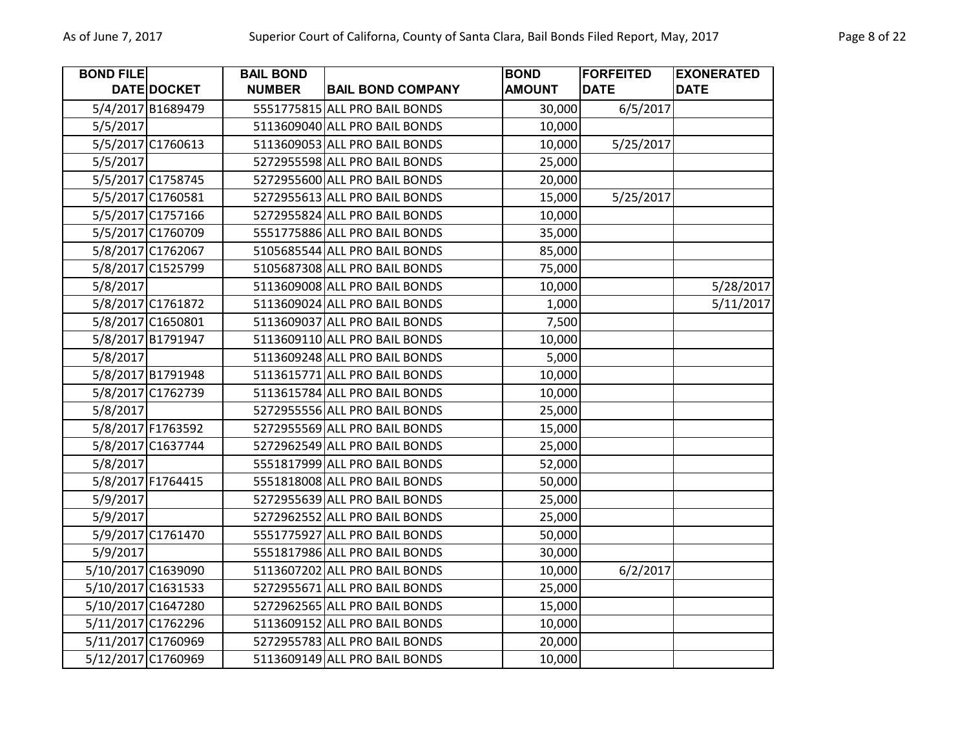| <b>BOND FILE</b> |                    | <b>BAIL BOND</b> |                               | <b>BOND</b>   | <b>FORFEITED</b> | <b>EXONERATED</b> |
|------------------|--------------------|------------------|-------------------------------|---------------|------------------|-------------------|
|                  | DATE DOCKET        | <b>NUMBER</b>    | <b>BAIL BOND COMPANY</b>      | <b>AMOUNT</b> | <b>DATE</b>      | <b>DATE</b>       |
|                  | 5/4/2017 B1689479  |                  | 5551775815 ALL PRO BAIL BONDS | 30,000        | 6/5/2017         |                   |
| 5/5/2017         |                    |                  | 5113609040 ALL PRO BAIL BONDS | 10,000        |                  |                   |
|                  | 5/5/2017 C1760613  |                  | 5113609053 ALL PRO BAIL BONDS | 10,000        | 5/25/2017        |                   |
| 5/5/2017         |                    |                  | 5272955598 ALL PRO BAIL BONDS | 25,000        |                  |                   |
|                  | 5/5/2017 C1758745  |                  | 5272955600 ALL PRO BAIL BONDS | 20,000        |                  |                   |
|                  | 5/5/2017 C1760581  |                  | 5272955613 ALL PRO BAIL BONDS | 15,000        | 5/25/2017        |                   |
|                  | 5/5/2017 C1757166  |                  | 5272955824 ALL PRO BAIL BONDS | 10,000        |                  |                   |
|                  | 5/5/2017 C1760709  |                  | 5551775886 ALL PRO BAIL BONDS | 35,000        |                  |                   |
|                  | 5/8/2017 C1762067  |                  | 5105685544 ALL PRO BAIL BONDS | 85,000        |                  |                   |
|                  | 5/8/2017 C1525799  |                  | 5105687308 ALL PRO BAIL BONDS | 75,000        |                  |                   |
| 5/8/2017         |                    |                  | 5113609008 ALL PRO BAIL BONDS | 10,000        |                  | 5/28/2017         |
|                  | 5/8/2017 C1761872  |                  | 5113609024 ALL PRO BAIL BONDS | 1,000         |                  | 5/11/2017         |
|                  | 5/8/2017 C1650801  |                  | 5113609037 ALL PRO BAIL BONDS | 7,500         |                  |                   |
|                  | 5/8/2017 B1791947  |                  | 5113609110 ALL PRO BAIL BONDS | 10,000        |                  |                   |
| 5/8/2017         |                    |                  | 5113609248 ALL PRO BAIL BONDS | 5,000         |                  |                   |
|                  | 5/8/2017 B1791948  |                  | 5113615771 ALL PRO BAIL BONDS | 10,000        |                  |                   |
|                  | 5/8/2017 C1762739  |                  | 5113615784 ALL PRO BAIL BONDS | 10,000        |                  |                   |
| 5/8/2017         |                    |                  | 5272955556 ALL PRO BAIL BONDS | 25,000        |                  |                   |
|                  | 5/8/2017 F1763592  |                  | 5272955569 ALL PRO BAIL BONDS | 15,000        |                  |                   |
|                  | 5/8/2017 C1637744  |                  | 5272962549 ALL PRO BAIL BONDS | 25,000        |                  |                   |
| 5/8/2017         |                    |                  | 5551817999 ALL PRO BAIL BONDS | 52,000        |                  |                   |
|                  | 5/8/2017 F1764415  |                  | 5551818008 ALL PRO BAIL BONDS | 50,000        |                  |                   |
| 5/9/2017         |                    |                  | 5272955639 ALL PRO BAIL BONDS | 25,000        |                  |                   |
| 5/9/2017         |                    |                  | 5272962552 ALL PRO BAIL BONDS | 25,000        |                  |                   |
|                  | 5/9/2017 C1761470  |                  | 5551775927 ALL PRO BAIL BONDS | 50,000        |                  |                   |
| 5/9/2017         |                    |                  | 5551817986 ALL PRO BAIL BONDS | 30,000        |                  |                   |
|                  | 5/10/2017 C1639090 |                  | 5113607202 ALL PRO BAIL BONDS | 10,000        | 6/2/2017         |                   |
|                  | 5/10/2017 C1631533 |                  | 5272955671 ALL PRO BAIL BONDS | 25,000        |                  |                   |
|                  | 5/10/2017 C1647280 |                  | 5272962565 ALL PRO BAIL BONDS | 15,000        |                  |                   |
|                  | 5/11/2017 C1762296 |                  | 5113609152 ALL PRO BAIL BONDS | 10,000        |                  |                   |
|                  | 5/11/2017 C1760969 |                  | 5272955783 ALL PRO BAIL BONDS | 20,000        |                  |                   |
|                  | 5/12/2017 C1760969 |                  | 5113609149 ALL PRO BAIL BONDS | 10,000        |                  |                   |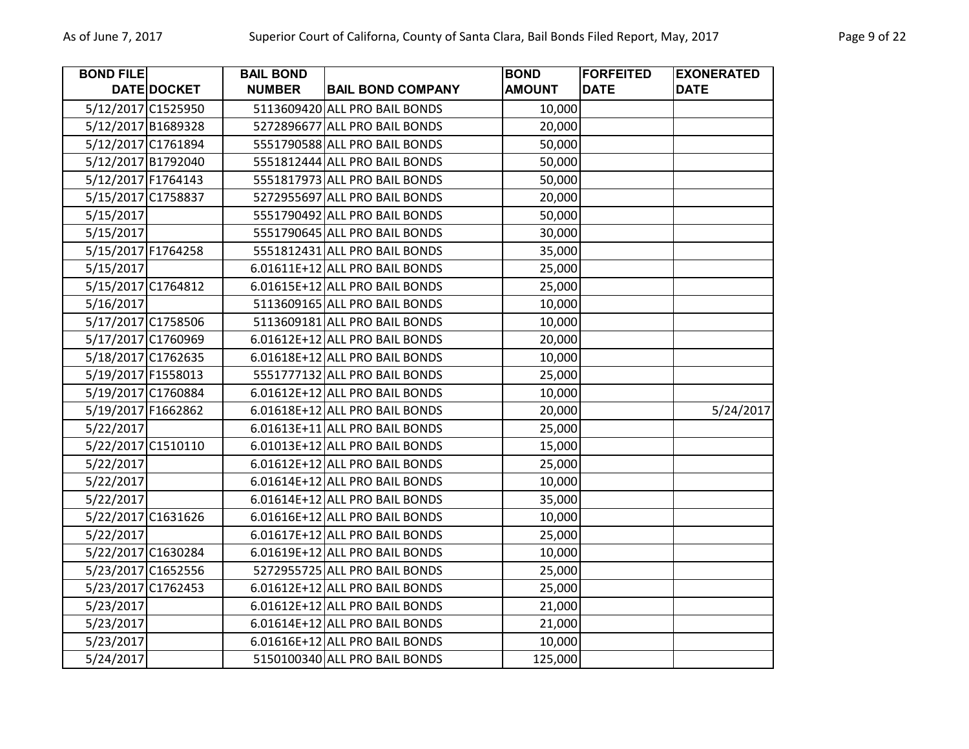| <b>BOND FILE</b> |                    | <b>BAIL BOND</b> |                                | <b>BOND</b>   | <b>FORFEITED</b> | <b>EXONERATED</b> |
|------------------|--------------------|------------------|--------------------------------|---------------|------------------|-------------------|
|                  | DATE DOCKET        | <b>NUMBER</b>    | <b>BAIL BOND COMPANY</b>       | <b>AMOUNT</b> | <b>DATE</b>      | <b>DATE</b>       |
|                  | 5/12/2017 C1525950 |                  | 5113609420 ALL PRO BAIL BONDS  | 10,000        |                  |                   |
|                  | 5/12/2017 B1689328 |                  | 5272896677 ALL PRO BAIL BONDS  | 20,000        |                  |                   |
|                  | 5/12/2017 C1761894 |                  | 5551790588 ALL PRO BAIL BONDS  | 50,000        |                  |                   |
|                  | 5/12/2017 B1792040 |                  | 5551812444 ALL PRO BAIL BONDS  | 50,000        |                  |                   |
|                  | 5/12/2017 F1764143 |                  | 5551817973 ALL PRO BAIL BONDS  | 50,000        |                  |                   |
|                  | 5/15/2017 C1758837 |                  | 5272955697 ALL PRO BAIL BONDS  | 20,000        |                  |                   |
| 5/15/2017        |                    |                  | 5551790492 ALL PRO BAIL BONDS  | 50,000        |                  |                   |
| 5/15/2017        |                    |                  | 5551790645 ALL PRO BAIL BONDS  | 30,000        |                  |                   |
|                  | 5/15/2017 F1764258 |                  | 5551812431 ALL PRO BAIL BONDS  | 35,000        |                  |                   |
| 5/15/2017        |                    |                  | 6.01611E+12 ALL PRO BAIL BONDS | 25,000        |                  |                   |
|                  | 5/15/2017 C1764812 |                  | 6.01615E+12 ALL PRO BAIL BONDS | 25,000        |                  |                   |
| 5/16/2017        |                    |                  | 5113609165 ALL PRO BAIL BONDS  | 10,000        |                  |                   |
|                  | 5/17/2017 C1758506 |                  | 5113609181 ALL PRO BAIL BONDS  | 10,000        |                  |                   |
|                  | 5/17/2017 C1760969 |                  | 6.01612E+12 ALL PRO BAIL BONDS | 20,000        |                  |                   |
|                  | 5/18/2017 C1762635 |                  | 6.01618E+12 ALL PRO BAIL BONDS | 10,000        |                  |                   |
|                  | 5/19/2017 F1558013 |                  | 5551777132 ALL PRO BAIL BONDS  | 25,000        |                  |                   |
|                  | 5/19/2017 C1760884 |                  | 6.01612E+12 ALL PRO BAIL BONDS | 10,000        |                  |                   |
|                  | 5/19/2017 F1662862 |                  | 6.01618E+12 ALL PRO BAIL BONDS | 20,000        |                  | 5/24/2017         |
| 5/22/2017        |                    |                  | 6.01613E+11 ALL PRO BAIL BONDS | 25,000        |                  |                   |
|                  | 5/22/2017 C1510110 |                  | 6.01013E+12 ALL PRO BAIL BONDS | 15,000        |                  |                   |
| 5/22/2017        |                    |                  | 6.01612E+12 ALL PRO BAIL BONDS | 25,000        |                  |                   |
| 5/22/2017        |                    |                  | 6.01614E+12 ALL PRO BAIL BONDS | 10,000        |                  |                   |
| 5/22/2017        |                    |                  | 6.01614E+12 ALL PRO BAIL BONDS | 35,000        |                  |                   |
|                  | 5/22/2017 C1631626 |                  | 6.01616E+12 ALL PRO BAIL BONDS | 10,000        |                  |                   |
| 5/22/2017        |                    |                  | 6.01617E+12 ALL PRO BAIL BONDS | 25,000        |                  |                   |
|                  | 5/22/2017 C1630284 |                  | 6.01619E+12 ALL PRO BAIL BONDS | 10,000        |                  |                   |
|                  | 5/23/2017 C1652556 |                  | 5272955725 ALL PRO BAIL BONDS  | 25,000        |                  |                   |
|                  | 5/23/2017 C1762453 |                  | 6.01612E+12 ALL PRO BAIL BONDS | 25,000        |                  |                   |
| 5/23/2017        |                    |                  | 6.01612E+12 ALL PRO BAIL BONDS | 21,000        |                  |                   |
| 5/23/2017        |                    |                  | 6.01614E+12 ALL PRO BAIL BONDS | 21,000        |                  |                   |
| 5/23/2017        |                    |                  | 6.01616E+12 ALL PRO BAIL BONDS | 10,000        |                  |                   |
| 5/24/2017        |                    |                  | 5150100340 ALL PRO BAIL BONDS  | 125,000       |                  |                   |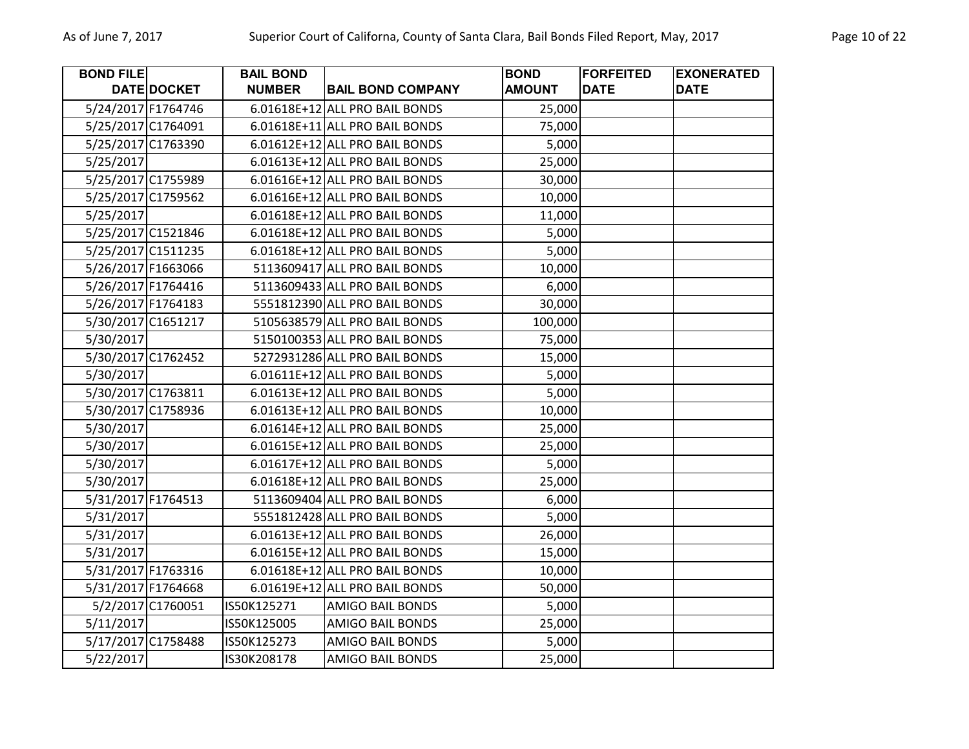| <b>BOND FILE</b> |                    | <b>BAIL BOND</b> |                                | <b>BOND</b>   | <b>FORFEITED</b> | <b>EXONERATED</b> |
|------------------|--------------------|------------------|--------------------------------|---------------|------------------|-------------------|
|                  | DATE DOCKET        | <b>NUMBER</b>    | <b>BAIL BOND COMPANY</b>       | <b>AMOUNT</b> | <b>DATE</b>      | <b>DATE</b>       |
|                  | 5/24/2017 F1764746 |                  | 6.01618E+12 ALL PRO BAIL BONDS | 25,000        |                  |                   |
|                  | 5/25/2017 C1764091 |                  | 6.01618E+11 ALL PRO BAIL BONDS | 75,000        |                  |                   |
|                  | 5/25/2017 C1763390 |                  | 6.01612E+12 ALL PRO BAIL BONDS | 5,000         |                  |                   |
| 5/25/2017        |                    |                  | 6.01613E+12 ALL PRO BAIL BONDS | 25,000        |                  |                   |
|                  | 5/25/2017 C1755989 |                  | 6.01616E+12 ALL PRO BAIL BONDS | 30,000        |                  |                   |
|                  | 5/25/2017 C1759562 |                  | 6.01616E+12 ALL PRO BAIL BONDS | 10,000        |                  |                   |
| 5/25/2017        |                    |                  | 6.01618E+12 ALL PRO BAIL BONDS | 11,000        |                  |                   |
|                  | 5/25/2017 C1521846 |                  | 6.01618E+12 ALL PRO BAIL BONDS | 5,000         |                  |                   |
|                  | 5/25/2017 C1511235 |                  | 6.01618E+12 ALL PRO BAIL BONDS | 5,000         |                  |                   |
|                  | 5/26/2017 F1663066 |                  | 5113609417 ALL PRO BAIL BONDS  | 10,000        |                  |                   |
|                  | 5/26/2017 F1764416 |                  | 5113609433 ALL PRO BAIL BONDS  | 6,000         |                  |                   |
|                  | 5/26/2017 F1764183 |                  | 5551812390 ALL PRO BAIL BONDS  | 30,000        |                  |                   |
|                  | 5/30/2017 C1651217 |                  | 5105638579 ALL PRO BAIL BONDS  | 100,000       |                  |                   |
| 5/30/2017        |                    |                  | 5150100353 ALL PRO BAIL BONDS  | 75,000        |                  |                   |
|                  | 5/30/2017 C1762452 |                  | 5272931286 ALL PRO BAIL BONDS  | 15,000        |                  |                   |
| 5/30/2017        |                    |                  | 6.01611E+12 ALL PRO BAIL BONDS | 5,000         |                  |                   |
|                  | 5/30/2017 C1763811 |                  | 6.01613E+12 ALL PRO BAIL BONDS | 5,000         |                  |                   |
|                  | 5/30/2017 C1758936 |                  | 6.01613E+12 ALL PRO BAIL BONDS | 10,000        |                  |                   |
| 5/30/2017        |                    |                  | 6.01614E+12 ALL PRO BAIL BONDS | 25,000        |                  |                   |
| 5/30/2017        |                    |                  | 6.01615E+12 ALL PRO BAIL BONDS | 25,000        |                  |                   |
| 5/30/2017        |                    |                  | 6.01617E+12 ALL PRO BAIL BONDS | 5,000         |                  |                   |
| 5/30/2017        |                    |                  | 6.01618E+12 ALL PRO BAIL BONDS | 25,000        |                  |                   |
|                  | 5/31/2017 F1764513 |                  | 5113609404 ALL PRO BAIL BONDS  | 6,000         |                  |                   |
| 5/31/2017        |                    |                  | 5551812428 ALL PRO BAIL BONDS  | 5,000         |                  |                   |
| 5/31/2017        |                    |                  | 6.01613E+12 ALL PRO BAIL BONDS | 26,000        |                  |                   |
| 5/31/2017        |                    |                  | 6.01615E+12 ALL PRO BAIL BONDS | 15,000        |                  |                   |
|                  | 5/31/2017 F1763316 |                  | 6.01618E+12 ALL PRO BAIL BONDS | 10,000        |                  |                   |
|                  | 5/31/2017 F1764668 |                  | 6.01619E+12 ALL PRO BAIL BONDS | 50,000        |                  |                   |
|                  | 5/2/2017 C1760051  | IS50K125271      | <b>AMIGO BAIL BONDS</b>        | 5,000         |                  |                   |
| 5/11/2017        |                    | IS50K125005      | <b>AMIGO BAIL BONDS</b>        | 25,000        |                  |                   |
|                  | 5/17/2017 C1758488 | IS50K125273      | <b>AMIGO BAIL BONDS</b>        | 5,000         |                  |                   |
| 5/22/2017        |                    | IS30K208178      | <b>AMIGO BAIL BONDS</b>        | 25,000        |                  |                   |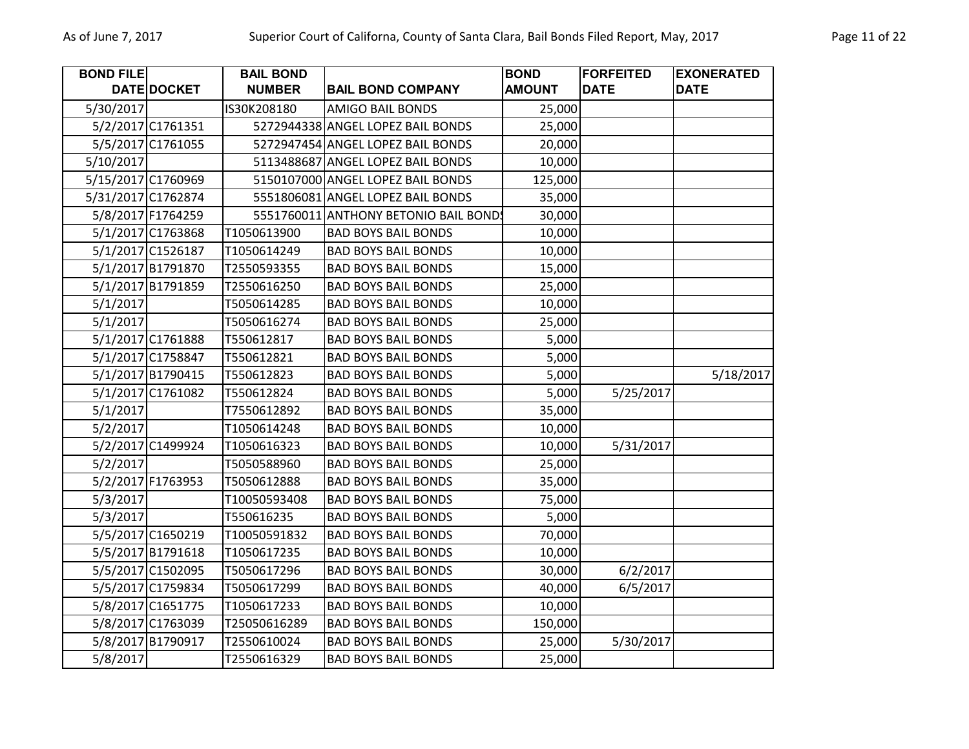| <b>BOND FILE</b>   |                   | <b>BAIL BOND</b> |                                      | <b>BOND</b>   | <b>FORFEITED</b> | <b>EXONERATED</b> |
|--------------------|-------------------|------------------|--------------------------------------|---------------|------------------|-------------------|
|                    | DATE DOCKET       | <b>NUMBER</b>    | <b>BAIL BOND COMPANY</b>             | <b>AMOUNT</b> | <b>DATE</b>      | <b>DATE</b>       |
| 5/30/2017          |                   | IS30K208180      | <b>AMIGO BAIL BONDS</b>              | 25,000        |                  |                   |
|                    | 5/2/2017 C1761351 |                  | 5272944338 ANGEL LOPEZ BAIL BONDS    | 25,000        |                  |                   |
|                    | 5/5/2017 C1761055 |                  | 5272947454 ANGEL LOPEZ BAIL BONDS    | 20,000        |                  |                   |
| 5/10/2017          |                   |                  | 5113488687 ANGEL LOPEZ BAIL BONDS    | 10,000        |                  |                   |
| 5/15/2017 C1760969 |                   |                  | 5150107000 ANGEL LOPEZ BAIL BONDS    | 125,000       |                  |                   |
| 5/31/2017 C1762874 |                   |                  | 5551806081 ANGEL LOPEZ BAIL BONDS    | 35,000        |                  |                   |
|                    | 5/8/2017 F1764259 |                  | 5551760011 ANTHONY BETONIO BAIL BOND | 30,000        |                  |                   |
|                    | 5/1/2017 C1763868 | T1050613900      | <b>BAD BOYS BAIL BONDS</b>           | 10,000        |                  |                   |
|                    | 5/1/2017 C1526187 | T1050614249      | <b>BAD BOYS BAIL BONDS</b>           | 10,000        |                  |                   |
|                    | 5/1/2017 B1791870 | T2550593355      | <b>BAD BOYS BAIL BONDS</b>           | 15,000        |                  |                   |
|                    | 5/1/2017 B1791859 | T2550616250      | <b>BAD BOYS BAIL BONDS</b>           | 25,000        |                  |                   |
| 5/1/2017           |                   | T5050614285      | <b>BAD BOYS BAIL BONDS</b>           | 10,000        |                  |                   |
| 5/1/2017           |                   | T5050616274      | <b>BAD BOYS BAIL BONDS</b>           | 25,000        |                  |                   |
|                    | 5/1/2017 C1761888 | T550612817       | <b>BAD BOYS BAIL BONDS</b>           | 5,000         |                  |                   |
|                    | 5/1/2017 C1758847 | T550612821       | <b>BAD BOYS BAIL BONDS</b>           | 5,000         |                  |                   |
|                    | 5/1/2017 B1790415 | T550612823       | <b>BAD BOYS BAIL BONDS</b>           | 5,000         |                  | 5/18/2017         |
|                    | 5/1/2017 C1761082 | T550612824       | <b>BAD BOYS BAIL BONDS</b>           | 5,000         | 5/25/2017        |                   |
| 5/1/2017           |                   | T7550612892      | <b>BAD BOYS BAIL BONDS</b>           | 35,000        |                  |                   |
| 5/2/2017           |                   | T1050614248      | <b>BAD BOYS BAIL BONDS</b>           | 10,000        |                  |                   |
|                    | 5/2/2017 C1499924 | T1050616323      | <b>BAD BOYS BAIL BONDS</b>           | 10,000        | 5/31/2017        |                   |
| 5/2/2017           |                   | T5050588960      | <b>BAD BOYS BAIL BONDS</b>           | 25,000        |                  |                   |
|                    | 5/2/2017 F1763953 | T5050612888      | <b>BAD BOYS BAIL BONDS</b>           | 35,000        |                  |                   |
| 5/3/2017           |                   | T10050593408     | <b>BAD BOYS BAIL BONDS</b>           | 75,000        |                  |                   |
| 5/3/2017           |                   | T550616235       | <b>BAD BOYS BAIL BONDS</b>           | 5,000         |                  |                   |
|                    | 5/5/2017 C1650219 | T10050591832     | <b>BAD BOYS BAIL BONDS</b>           | 70,000        |                  |                   |
|                    | 5/5/2017 B1791618 | T1050617235      | <b>BAD BOYS BAIL BONDS</b>           | 10,000        |                  |                   |
|                    | 5/5/2017 C1502095 | T5050617296      | <b>BAD BOYS BAIL BONDS</b>           | 30,000        | 6/2/2017         |                   |
|                    | 5/5/2017 C1759834 | T5050617299      | <b>BAD BOYS BAIL BONDS</b>           | 40,000        | 6/5/2017         |                   |
|                    | 5/8/2017 C1651775 | T1050617233      | <b>BAD BOYS BAIL BONDS</b>           | 10,000        |                  |                   |
|                    | 5/8/2017 C1763039 | T25050616289     | <b>BAD BOYS BAIL BONDS</b>           | 150,000       |                  |                   |
|                    | 5/8/2017 B1790917 | T2550610024      | <b>BAD BOYS BAIL BONDS</b>           | 25,000        | 5/30/2017        |                   |
| 5/8/2017           |                   | T2550616329      | <b>BAD BOYS BAIL BONDS</b>           | 25,000        |                  |                   |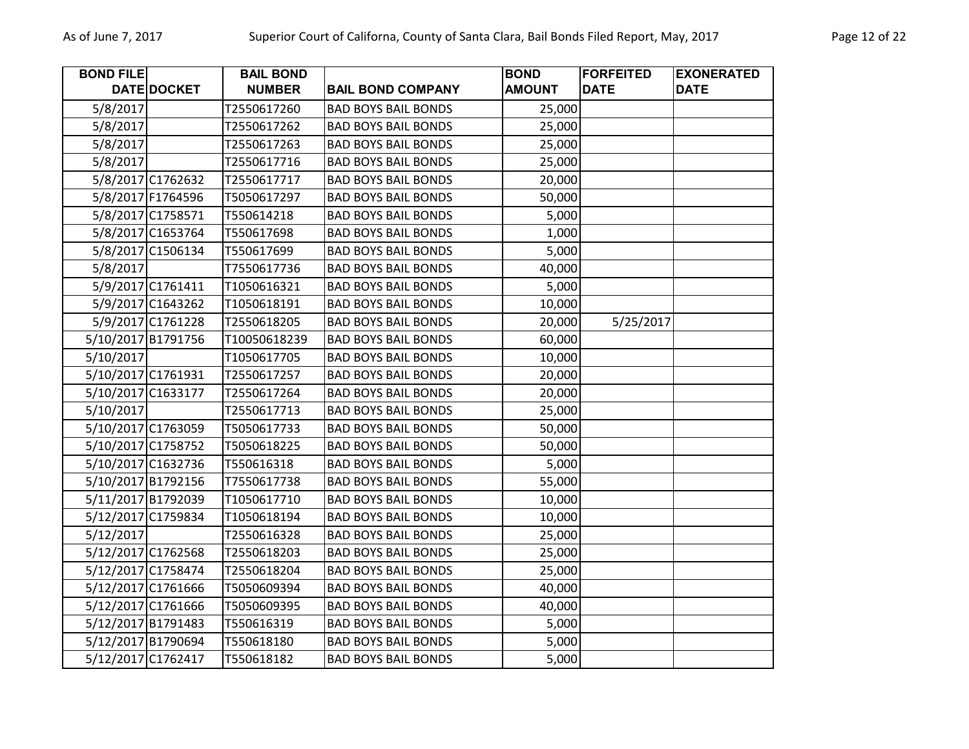| <b>BOND FILE</b> |                    | <b>BAIL BOND</b> |                            | <b>BOND</b>   | <b>FORFEITED</b> | <b>EXONERATED</b> |
|------------------|--------------------|------------------|----------------------------|---------------|------------------|-------------------|
|                  | DATE DOCKET        | <b>NUMBER</b>    | <b>BAIL BOND COMPANY</b>   | <b>AMOUNT</b> | <b>DATE</b>      | <b>DATE</b>       |
| 5/8/2017         |                    | T2550617260      | <b>BAD BOYS BAIL BONDS</b> | 25,000        |                  |                   |
| 5/8/2017         |                    | T2550617262      | <b>BAD BOYS BAIL BONDS</b> | 25,000        |                  |                   |
| 5/8/2017         |                    | T2550617263      | <b>BAD BOYS BAIL BONDS</b> | 25,000        |                  |                   |
| 5/8/2017         |                    | T2550617716      | <b>BAD BOYS BAIL BONDS</b> | 25,000        |                  |                   |
|                  | 5/8/2017 C1762632  | T2550617717      | <b>BAD BOYS BAIL BONDS</b> | 20,000        |                  |                   |
|                  | 5/8/2017 F1764596  | T5050617297      | <b>BAD BOYS BAIL BONDS</b> | 50,000        |                  |                   |
|                  | 5/8/2017 C1758571  | T550614218       | <b>BAD BOYS BAIL BONDS</b> | 5,000         |                  |                   |
|                  | 5/8/2017 C1653764  | T550617698       | <b>BAD BOYS BAIL BONDS</b> | 1,000         |                  |                   |
|                  | 5/8/2017 C1506134  | T550617699       | <b>BAD BOYS BAIL BONDS</b> | 5,000         |                  |                   |
| 5/8/2017         |                    | T7550617736      | <b>BAD BOYS BAIL BONDS</b> | 40,000        |                  |                   |
|                  | 5/9/2017 C1761411  | T1050616321      | <b>BAD BOYS BAIL BONDS</b> | 5,000         |                  |                   |
|                  | 5/9/2017 C1643262  | T1050618191      | <b>BAD BOYS BAIL BONDS</b> | 10,000        |                  |                   |
|                  | 5/9/2017 C1761228  | T2550618205      | <b>BAD BOYS BAIL BONDS</b> | 20,000        | 5/25/2017        |                   |
|                  | 5/10/2017 B1791756 | T10050618239     | <b>BAD BOYS BAIL BONDS</b> | 60,000        |                  |                   |
| 5/10/2017        |                    | T1050617705      | <b>BAD BOYS BAIL BONDS</b> | 10,000        |                  |                   |
|                  | 5/10/2017 C1761931 | T2550617257      | <b>BAD BOYS BAIL BONDS</b> | 20,000        |                  |                   |
|                  | 5/10/2017 C1633177 | T2550617264      | <b>BAD BOYS BAIL BONDS</b> | 20,000        |                  |                   |
| 5/10/2017        |                    | T2550617713      | <b>BAD BOYS BAIL BONDS</b> | 25,000        |                  |                   |
|                  | 5/10/2017 C1763059 | T5050617733      | <b>BAD BOYS BAIL BONDS</b> | 50,000        |                  |                   |
|                  | 5/10/2017 C1758752 | T5050618225      | <b>BAD BOYS BAIL BONDS</b> | 50,000        |                  |                   |
|                  | 5/10/2017 C1632736 | T550616318       | <b>BAD BOYS BAIL BONDS</b> | 5,000         |                  |                   |
|                  | 5/10/2017 B1792156 | T7550617738      | <b>BAD BOYS BAIL BONDS</b> | 55,000        |                  |                   |
|                  | 5/11/2017 B1792039 | T1050617710      | <b>BAD BOYS BAIL BONDS</b> | 10,000        |                  |                   |
|                  | 5/12/2017 C1759834 | T1050618194      | <b>BAD BOYS BAIL BONDS</b> | 10,000        |                  |                   |
| 5/12/2017        |                    | T2550616328      | <b>BAD BOYS BAIL BONDS</b> | 25,000        |                  |                   |
|                  | 5/12/2017 C1762568 | T2550618203      | <b>BAD BOYS BAIL BONDS</b> | 25,000        |                  |                   |
|                  | 5/12/2017 C1758474 | T2550618204      | <b>BAD BOYS BAIL BONDS</b> | 25,000        |                  |                   |
|                  | 5/12/2017 C1761666 | T5050609394      | <b>BAD BOYS BAIL BONDS</b> | 40,000        |                  |                   |
|                  | 5/12/2017 C1761666 | T5050609395      | <b>BAD BOYS BAIL BONDS</b> | 40,000        |                  |                   |
|                  | 5/12/2017 B1791483 | T550616319       | <b>BAD BOYS BAIL BONDS</b> | 5,000         |                  |                   |
|                  | 5/12/2017 B1790694 | T550618180       | <b>BAD BOYS BAIL BONDS</b> | 5,000         |                  |                   |
|                  | 5/12/2017 C1762417 | T550618182       | <b>BAD BOYS BAIL BONDS</b> | 5,000         |                  |                   |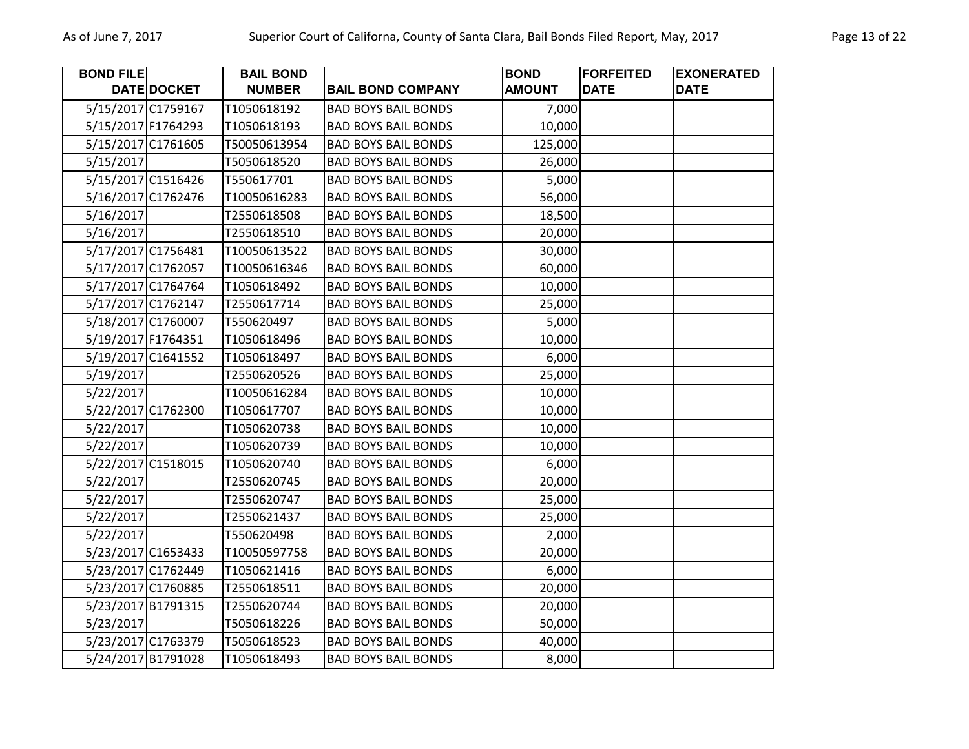| <b>BOND FILE</b> |                    | <b>BAIL BOND</b> |                            | <b>BOND</b>   | <b>FORFEITED</b> | <b>EXONERATED</b> |
|------------------|--------------------|------------------|----------------------------|---------------|------------------|-------------------|
|                  | DATE DOCKET        | <b>NUMBER</b>    | <b>BAIL BOND COMPANY</b>   | <b>AMOUNT</b> | <b>DATE</b>      | <b>DATE</b>       |
|                  | 5/15/2017 C1759167 | T1050618192      | <b>BAD BOYS BAIL BONDS</b> | 7,000         |                  |                   |
|                  | 5/15/2017 F1764293 | T1050618193      | <b>BAD BOYS BAIL BONDS</b> | 10,000        |                  |                   |
|                  | 5/15/2017 C1761605 | T50050613954     | <b>BAD BOYS BAIL BONDS</b> | 125,000       |                  |                   |
| 5/15/2017        |                    | T5050618520      | <b>BAD BOYS BAIL BONDS</b> | 26,000        |                  |                   |
|                  | 5/15/2017 C1516426 | T550617701       | <b>BAD BOYS BAIL BONDS</b> | 5,000         |                  |                   |
|                  | 5/16/2017 C1762476 | T10050616283     | <b>BAD BOYS BAIL BONDS</b> | 56,000        |                  |                   |
| 5/16/2017        |                    | T2550618508      | <b>BAD BOYS BAIL BONDS</b> | 18,500        |                  |                   |
| 5/16/2017        |                    | T2550618510      | <b>BAD BOYS BAIL BONDS</b> | 20,000        |                  |                   |
|                  | 5/17/2017 C1756481 | T10050613522     | <b>BAD BOYS BAIL BONDS</b> | 30,000        |                  |                   |
|                  | 5/17/2017 C1762057 | T10050616346     | <b>BAD BOYS BAIL BONDS</b> | 60,000        |                  |                   |
|                  | 5/17/2017 C1764764 | T1050618492      | <b>BAD BOYS BAIL BONDS</b> | 10,000        |                  |                   |
|                  | 5/17/2017 C1762147 | T2550617714      | <b>BAD BOYS BAIL BONDS</b> | 25,000        |                  |                   |
|                  | 5/18/2017 C1760007 | T550620497       | <b>BAD BOYS BAIL BONDS</b> | 5,000         |                  |                   |
|                  | 5/19/2017 F1764351 | T1050618496      | <b>BAD BOYS BAIL BONDS</b> | 10,000        |                  |                   |
|                  | 5/19/2017 C1641552 | T1050618497      | <b>BAD BOYS BAIL BONDS</b> | 6,000         |                  |                   |
| 5/19/2017        |                    | T2550620526      | <b>BAD BOYS BAIL BONDS</b> | 25,000        |                  |                   |
| 5/22/2017        |                    | T10050616284     | <b>BAD BOYS BAIL BONDS</b> | 10,000        |                  |                   |
|                  | 5/22/2017 C1762300 | T1050617707      | <b>BAD BOYS BAIL BONDS</b> | 10,000        |                  |                   |
| 5/22/2017        |                    | T1050620738      | <b>BAD BOYS BAIL BONDS</b> | 10,000        |                  |                   |
| 5/22/2017        |                    | T1050620739      | <b>BAD BOYS BAIL BONDS</b> | 10,000        |                  |                   |
|                  | 5/22/2017 C1518015 | T1050620740      | <b>BAD BOYS BAIL BONDS</b> | 6,000         |                  |                   |
| 5/22/2017        |                    | T2550620745      | <b>BAD BOYS BAIL BONDS</b> | 20,000        |                  |                   |
| 5/22/2017        |                    | T2550620747      | <b>BAD BOYS BAIL BONDS</b> | 25,000        |                  |                   |
| 5/22/2017        |                    | T2550621437      | <b>BAD BOYS BAIL BONDS</b> | 25,000        |                  |                   |
| 5/22/2017        |                    | T550620498       | <b>BAD BOYS BAIL BONDS</b> | 2,000         |                  |                   |
|                  | 5/23/2017 C1653433 | T10050597758     | <b>BAD BOYS BAIL BONDS</b> | 20,000        |                  |                   |
|                  | 5/23/2017 C1762449 | T1050621416      | <b>BAD BOYS BAIL BONDS</b> | 6,000         |                  |                   |
|                  | 5/23/2017 C1760885 | T2550618511      | <b>BAD BOYS BAIL BONDS</b> | 20,000        |                  |                   |
|                  | 5/23/2017 B1791315 | T2550620744      | <b>BAD BOYS BAIL BONDS</b> | 20,000        |                  |                   |
| 5/23/2017        |                    | T5050618226      | <b>BAD BOYS BAIL BONDS</b> | 50,000        |                  |                   |
|                  | 5/23/2017 C1763379 | T5050618523      | <b>BAD BOYS BAIL BONDS</b> | 40,000        |                  |                   |
|                  | 5/24/2017 B1791028 | T1050618493      | <b>BAD BOYS BAIL BONDS</b> | 8,000         |                  |                   |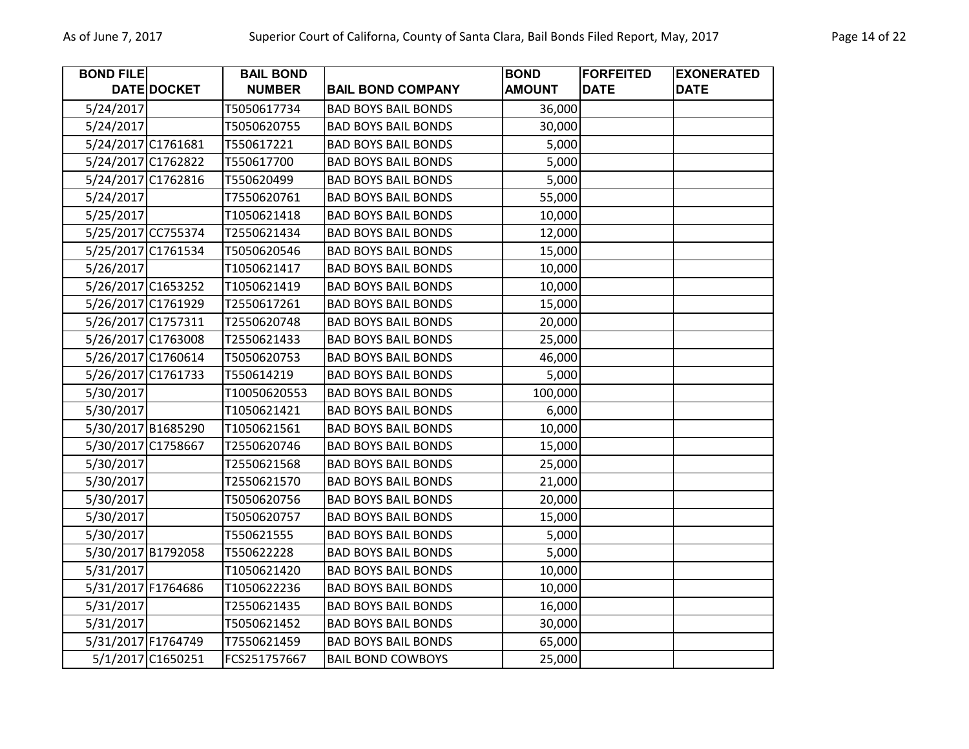| <b>BOND FILE</b> |                    | <b>BAIL BOND</b> |                            | <b>BOND</b>   | <b>FORFEITED</b> | <b>EXONERATED</b> |
|------------------|--------------------|------------------|----------------------------|---------------|------------------|-------------------|
|                  | DATE DOCKET        | <b>NUMBER</b>    | <b>BAIL BOND COMPANY</b>   | <b>AMOUNT</b> | <b>DATE</b>      | <b>DATE</b>       |
| 5/24/2017        |                    | T5050617734      | <b>BAD BOYS BAIL BONDS</b> | 36,000        |                  |                   |
| 5/24/2017        |                    | T5050620755      | <b>BAD BOYS BAIL BONDS</b> | 30,000        |                  |                   |
|                  | 5/24/2017 C1761681 | T550617221       | <b>BAD BOYS BAIL BONDS</b> | 5,000         |                  |                   |
|                  | 5/24/2017 C1762822 | T550617700       | <b>BAD BOYS BAIL BONDS</b> | 5,000         |                  |                   |
|                  | 5/24/2017 C1762816 | T550620499       | <b>BAD BOYS BAIL BONDS</b> | 5,000         |                  |                   |
| 5/24/2017        |                    | T7550620761      | <b>BAD BOYS BAIL BONDS</b> | 55,000        |                  |                   |
| 5/25/2017        |                    | T1050621418      | <b>BAD BOYS BAIL BONDS</b> | 10,000        |                  |                   |
|                  | 5/25/2017 CC755374 | T2550621434      | <b>BAD BOYS BAIL BONDS</b> | 12,000        |                  |                   |
|                  | 5/25/2017 C1761534 | T5050620546      | <b>BAD BOYS BAIL BONDS</b> | 15,000        |                  |                   |
| 5/26/2017        |                    | T1050621417      | <b>BAD BOYS BAIL BONDS</b> | 10,000        |                  |                   |
|                  | 5/26/2017 C1653252 | T1050621419      | <b>BAD BOYS BAIL BONDS</b> | 10,000        |                  |                   |
|                  | 5/26/2017 C1761929 | T2550617261      | <b>BAD BOYS BAIL BONDS</b> | 15,000        |                  |                   |
|                  | 5/26/2017 C1757311 | T2550620748      | <b>BAD BOYS BAIL BONDS</b> | 20,000        |                  |                   |
|                  | 5/26/2017 C1763008 | T2550621433      | <b>BAD BOYS BAIL BONDS</b> | 25,000        |                  |                   |
|                  | 5/26/2017 C1760614 | T5050620753      | <b>BAD BOYS BAIL BONDS</b> | 46,000        |                  |                   |
|                  | 5/26/2017 C1761733 | T550614219       | <b>BAD BOYS BAIL BONDS</b> | 5,000         |                  |                   |
| 5/30/2017        |                    | T10050620553     | <b>BAD BOYS BAIL BONDS</b> | 100,000       |                  |                   |
| 5/30/2017        |                    | T1050621421      | <b>BAD BOYS BAIL BONDS</b> | 6,000         |                  |                   |
|                  | 5/30/2017 B1685290 | T1050621561      | <b>BAD BOYS BAIL BONDS</b> | 10,000        |                  |                   |
|                  | 5/30/2017 C1758667 | T2550620746      | <b>BAD BOYS BAIL BONDS</b> | 15,000        |                  |                   |
| 5/30/2017        |                    | T2550621568      | <b>BAD BOYS BAIL BONDS</b> | 25,000        |                  |                   |
| 5/30/2017        |                    | T2550621570      | <b>BAD BOYS BAIL BONDS</b> | 21,000        |                  |                   |
| 5/30/2017        |                    | T5050620756      | <b>BAD BOYS BAIL BONDS</b> | 20,000        |                  |                   |
| 5/30/2017        |                    | T5050620757      | <b>BAD BOYS BAIL BONDS</b> | 15,000        |                  |                   |
| 5/30/2017        |                    | T550621555       | <b>BAD BOYS BAIL BONDS</b> | 5,000         |                  |                   |
|                  | 5/30/2017 B1792058 | T550622228       | <b>BAD BOYS BAIL BONDS</b> | 5,000         |                  |                   |
| 5/31/2017        |                    | T1050621420      | <b>BAD BOYS BAIL BONDS</b> | 10,000        |                  |                   |
|                  | 5/31/2017 F1764686 | T1050622236      | <b>BAD BOYS BAIL BONDS</b> | 10,000        |                  |                   |
| 5/31/2017        |                    | T2550621435      | <b>BAD BOYS BAIL BONDS</b> | 16,000        |                  |                   |
| 5/31/2017        |                    | T5050621452      | <b>BAD BOYS BAIL BONDS</b> | 30,000        |                  |                   |
|                  | 5/31/2017 F1764749 | T7550621459      | <b>BAD BOYS BAIL BONDS</b> | 65,000        |                  |                   |
|                  | 5/1/2017 C1650251  | FCS251757667     | <b>BAIL BOND COWBOYS</b>   | 25,000        |                  |                   |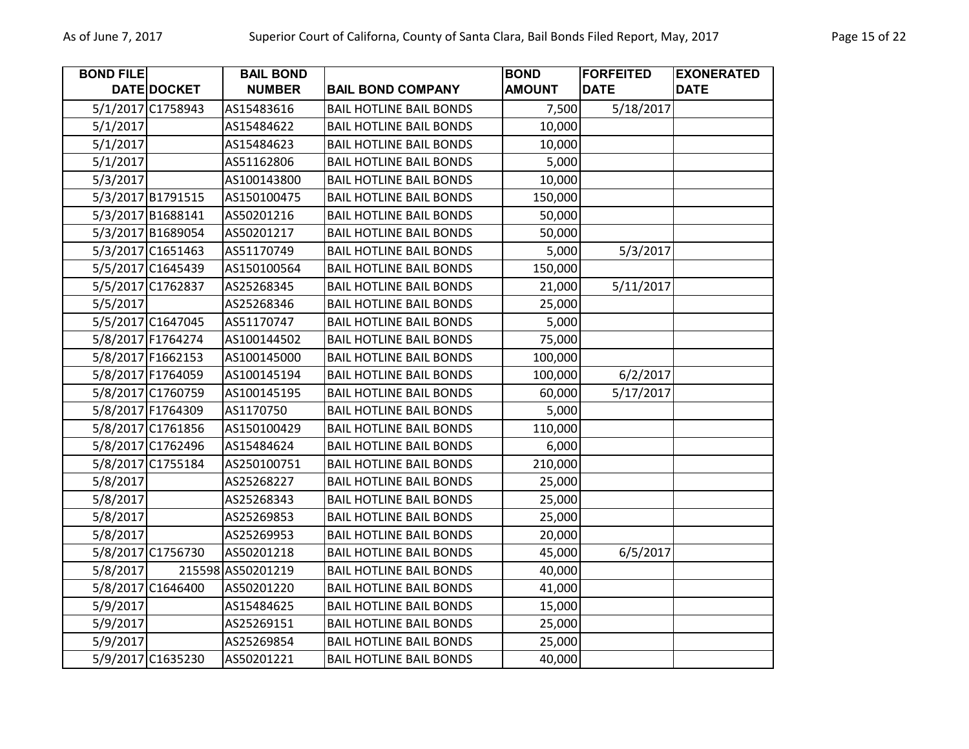| <b>BOND FILE</b> |                   | <b>BAIL BOND</b>  |                                | <b>BOND</b>   | <b>FORFEITED</b> | <b>EXONERATED</b> |
|------------------|-------------------|-------------------|--------------------------------|---------------|------------------|-------------------|
|                  | DATE DOCKET       | <b>NUMBER</b>     | <b>BAIL BOND COMPANY</b>       | <b>AMOUNT</b> | <b>DATE</b>      | <b>DATE</b>       |
|                  | 5/1/2017 C1758943 | AS15483616        | <b>BAIL HOTLINE BAIL BONDS</b> | 7,500         | 5/18/2017        |                   |
| 5/1/2017         |                   | AS15484622        | <b>BAIL HOTLINE BAIL BONDS</b> | 10,000        |                  |                   |
| 5/1/2017         |                   | AS15484623        | <b>BAIL HOTLINE BAIL BONDS</b> | 10,000        |                  |                   |
| 5/1/2017         |                   | AS51162806        | <b>BAIL HOTLINE BAIL BONDS</b> | 5,000         |                  |                   |
| 5/3/2017         |                   | AS100143800       | <b>BAIL HOTLINE BAIL BONDS</b> | 10,000        |                  |                   |
|                  | 5/3/2017 B1791515 | AS150100475       | <b>BAIL HOTLINE BAIL BONDS</b> | 150,000       |                  |                   |
|                  | 5/3/2017 B1688141 | AS50201216        | <b>BAIL HOTLINE BAIL BONDS</b> | 50,000        |                  |                   |
|                  | 5/3/2017 B1689054 | AS50201217        | <b>BAIL HOTLINE BAIL BONDS</b> | 50,000        |                  |                   |
|                  | 5/3/2017 C1651463 | AS51170749        | <b>BAIL HOTLINE BAIL BONDS</b> | 5,000         | 5/3/2017         |                   |
|                  | 5/5/2017 C1645439 | AS150100564       | <b>BAIL HOTLINE BAIL BONDS</b> | 150,000       |                  |                   |
|                  | 5/5/2017 C1762837 | AS25268345        | <b>BAIL HOTLINE BAIL BONDS</b> | 21,000        | 5/11/2017        |                   |
| 5/5/2017         |                   | AS25268346        | <b>BAIL HOTLINE BAIL BONDS</b> | 25,000        |                  |                   |
|                  | 5/5/2017 C1647045 | AS51170747        | <b>BAIL HOTLINE BAIL BONDS</b> | 5,000         |                  |                   |
|                  | 5/8/2017 F1764274 | AS100144502       | <b>BAIL HOTLINE BAIL BONDS</b> | 75,000        |                  |                   |
|                  | 5/8/2017 F1662153 | AS100145000       | <b>BAIL HOTLINE BAIL BONDS</b> | 100,000       |                  |                   |
|                  | 5/8/2017 F1764059 | AS100145194       | <b>BAIL HOTLINE BAIL BONDS</b> | 100,000       | 6/2/2017         |                   |
|                  | 5/8/2017 C1760759 | AS100145195       | <b>BAIL HOTLINE BAIL BONDS</b> | 60,000        | 5/17/2017        |                   |
|                  | 5/8/2017 F1764309 | AS1170750         | <b>BAIL HOTLINE BAIL BONDS</b> | 5,000         |                  |                   |
|                  | 5/8/2017 C1761856 | AS150100429       | <b>BAIL HOTLINE BAIL BONDS</b> | 110,000       |                  |                   |
|                  | 5/8/2017 C1762496 | AS15484624        | <b>BAIL HOTLINE BAIL BONDS</b> | 6,000         |                  |                   |
|                  | 5/8/2017 C1755184 | AS250100751       | <b>BAIL HOTLINE BAIL BONDS</b> | 210,000       |                  |                   |
| 5/8/2017         |                   | AS25268227        | <b>BAIL HOTLINE BAIL BONDS</b> | 25,000        |                  |                   |
| 5/8/2017         |                   | AS25268343        | <b>BAIL HOTLINE BAIL BONDS</b> | 25,000        |                  |                   |
| 5/8/2017         |                   | AS25269853        | <b>BAIL HOTLINE BAIL BONDS</b> | 25,000        |                  |                   |
| 5/8/2017         |                   | AS25269953        | <b>BAIL HOTLINE BAIL BONDS</b> | 20,000        |                  |                   |
|                  | 5/8/2017 C1756730 | AS50201218        | <b>BAIL HOTLINE BAIL BONDS</b> | 45,000        | 6/5/2017         |                   |
| 5/8/2017         |                   | 215598 AS50201219 | <b>BAIL HOTLINE BAIL BONDS</b> | 40,000        |                  |                   |
|                  | 5/8/2017 C1646400 | AS50201220        | <b>BAIL HOTLINE BAIL BONDS</b> | 41,000        |                  |                   |
| 5/9/2017         |                   | AS15484625        | <b>BAIL HOTLINE BAIL BONDS</b> | 15,000        |                  |                   |
| 5/9/2017         |                   | AS25269151        | <b>BAIL HOTLINE BAIL BONDS</b> | 25,000        |                  |                   |
| 5/9/2017         |                   | AS25269854        | <b>BAIL HOTLINE BAIL BONDS</b> | 25,000        |                  |                   |
|                  | 5/9/2017 C1635230 | AS50201221        | <b>BAIL HOTLINE BAIL BONDS</b> | 40,000        |                  |                   |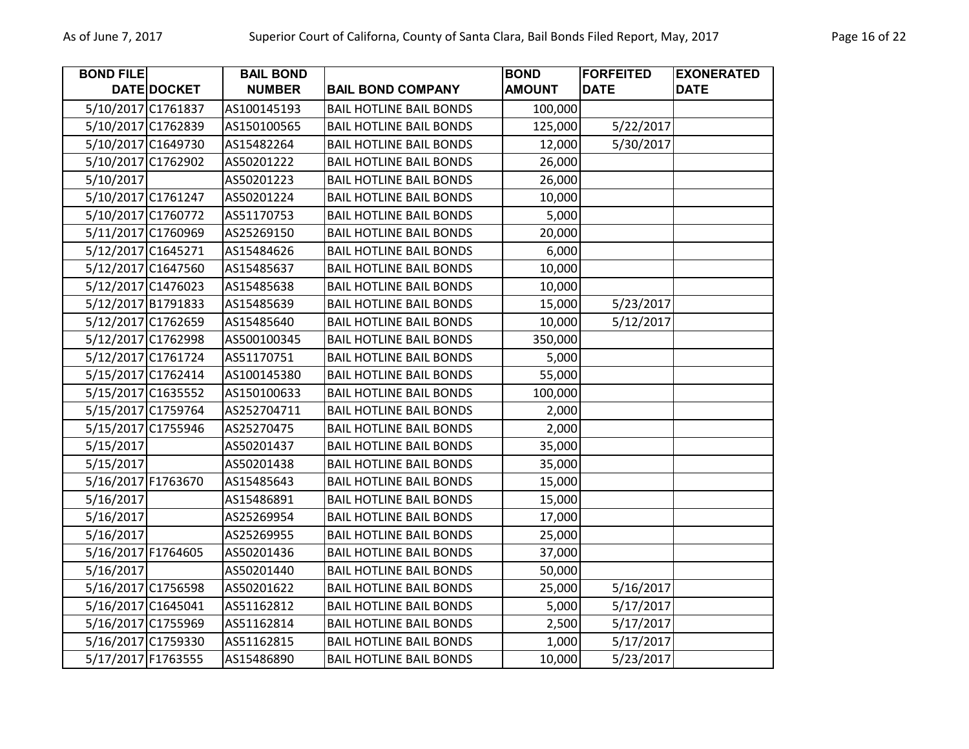| <b>BOND FILE</b>   |                    | <b>BAIL BOND</b> |                                | <b>BOND</b>   | <b>FORFEITED</b> | <b>EXONERATED</b> |
|--------------------|--------------------|------------------|--------------------------------|---------------|------------------|-------------------|
|                    | DATE DOCKET        | <b>NUMBER</b>    | <b>BAIL BOND COMPANY</b>       | <b>AMOUNT</b> | <b>DATE</b>      | <b>DATE</b>       |
|                    | 5/10/2017 C1761837 | AS100145193      | <b>BAIL HOTLINE BAIL BONDS</b> | 100,000       |                  |                   |
|                    | 5/10/2017 C1762839 | AS150100565      | <b>BAIL HOTLINE BAIL BONDS</b> | 125,000       | 5/22/2017        |                   |
|                    | 5/10/2017 C1649730 | AS15482264       | <b>BAIL HOTLINE BAIL BONDS</b> | 12,000        | 5/30/2017        |                   |
|                    | 5/10/2017 C1762902 | AS50201222       | <b>BAIL HOTLINE BAIL BONDS</b> | 26,000        |                  |                   |
| 5/10/2017          |                    | AS50201223       | <b>BAIL HOTLINE BAIL BONDS</b> | 26,000        |                  |                   |
|                    | 5/10/2017 C1761247 | AS50201224       | <b>BAIL HOTLINE BAIL BONDS</b> | 10,000        |                  |                   |
|                    | 5/10/2017 C1760772 | AS51170753       | <b>BAIL HOTLINE BAIL BONDS</b> | 5,000         |                  |                   |
|                    | 5/11/2017 C1760969 | AS25269150       | <b>BAIL HOTLINE BAIL BONDS</b> | 20,000        |                  |                   |
| 5/12/2017 C1645271 |                    | AS15484626       | <b>BAIL HOTLINE BAIL BONDS</b> | 6,000         |                  |                   |
|                    | 5/12/2017 C1647560 | AS15485637       | <b>BAIL HOTLINE BAIL BONDS</b> | 10,000        |                  |                   |
|                    | 5/12/2017 C1476023 | AS15485638       | <b>BAIL HOTLINE BAIL BONDS</b> | 10,000        |                  |                   |
|                    | 5/12/2017 B1791833 | AS15485639       | <b>BAIL HOTLINE BAIL BONDS</b> | 15,000        | 5/23/2017        |                   |
|                    | 5/12/2017 C1762659 | AS15485640       | <b>BAIL HOTLINE BAIL BONDS</b> | 10,000        | 5/12/2017        |                   |
|                    | 5/12/2017 C1762998 | AS500100345      | <b>BAIL HOTLINE BAIL BONDS</b> | 350,000       |                  |                   |
|                    | 5/12/2017 C1761724 | AS51170751       | <b>BAIL HOTLINE BAIL BONDS</b> | 5,000         |                  |                   |
|                    | 5/15/2017 C1762414 | AS100145380      | <b>BAIL HOTLINE BAIL BONDS</b> | 55,000        |                  |                   |
|                    | 5/15/2017 C1635552 | AS150100633      | <b>BAIL HOTLINE BAIL BONDS</b> | 100,000       |                  |                   |
|                    | 5/15/2017 C1759764 | AS252704711      | <b>BAIL HOTLINE BAIL BONDS</b> | 2,000         |                  |                   |
|                    | 5/15/2017 C1755946 | AS25270475       | <b>BAIL HOTLINE BAIL BONDS</b> | 2,000         |                  |                   |
| 5/15/2017          |                    | AS50201437       | <b>BAIL HOTLINE BAIL BONDS</b> | 35,000        |                  |                   |
| 5/15/2017          |                    | AS50201438       | <b>BAIL HOTLINE BAIL BONDS</b> | 35,000        |                  |                   |
| 5/16/2017 F1763670 |                    | AS15485643       | <b>BAIL HOTLINE BAIL BONDS</b> | 15,000        |                  |                   |
| 5/16/2017          |                    | AS15486891       | <b>BAIL HOTLINE BAIL BONDS</b> | 15,000        |                  |                   |
| 5/16/2017          |                    | AS25269954       | <b>BAIL HOTLINE BAIL BONDS</b> | 17,000        |                  |                   |
| 5/16/2017          |                    | AS25269955       | <b>BAIL HOTLINE BAIL BONDS</b> | 25,000        |                  |                   |
| 5/16/2017 F1764605 |                    | AS50201436       | <b>BAIL HOTLINE BAIL BONDS</b> | 37,000        |                  |                   |
| 5/16/2017          |                    | AS50201440       | <b>BAIL HOTLINE BAIL BONDS</b> | 50,000        |                  |                   |
|                    | 5/16/2017 C1756598 | AS50201622       | <b>BAIL HOTLINE BAIL BONDS</b> | 25,000        | 5/16/2017        |                   |
|                    | 5/16/2017 C1645041 | AS51162812       | <b>BAIL HOTLINE BAIL BONDS</b> | 5,000         | 5/17/2017        |                   |
|                    | 5/16/2017 C1755969 | AS51162814       | <b>BAIL HOTLINE BAIL BONDS</b> | 2,500         | 5/17/2017        |                   |
|                    | 5/16/2017 C1759330 | AS51162815       | <b>BAIL HOTLINE BAIL BONDS</b> | 1,000         | 5/17/2017        |                   |
|                    | 5/17/2017 F1763555 | AS15486890       | <b>BAIL HOTLINE BAIL BONDS</b> | 10,000        | 5/23/2017        |                   |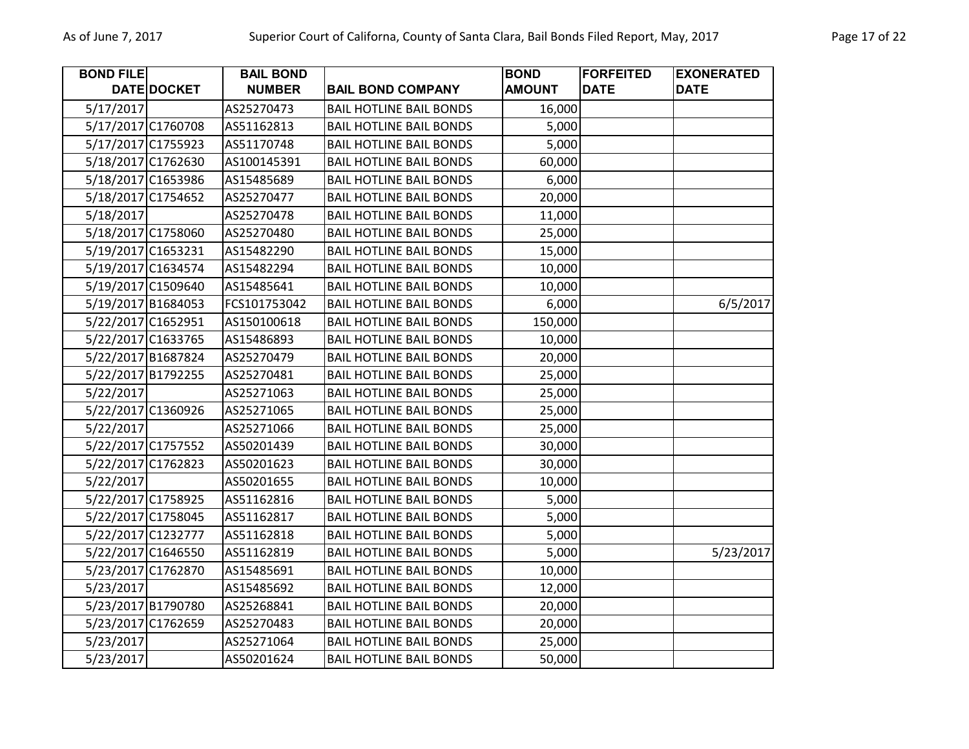| <b>BOND FILE</b> |                    | <b>BAIL BOND</b> |                                | <b>BOND</b>   | <b>FORFEITED</b> | <b>EXONERATED</b> |
|------------------|--------------------|------------------|--------------------------------|---------------|------------------|-------------------|
|                  | DATE DOCKET        | <b>NUMBER</b>    | <b>BAIL BOND COMPANY</b>       | <b>AMOUNT</b> | <b>DATE</b>      | <b>DATE</b>       |
| 5/17/2017        |                    | AS25270473       | <b>BAIL HOTLINE BAIL BONDS</b> | 16,000        |                  |                   |
|                  | 5/17/2017 C1760708 | AS51162813       | <b>BAIL HOTLINE BAIL BONDS</b> | 5,000         |                  |                   |
|                  | 5/17/2017 C1755923 | AS51170748       | <b>BAIL HOTLINE BAIL BONDS</b> | 5,000         |                  |                   |
|                  | 5/18/2017 C1762630 | AS100145391      | <b>BAIL HOTLINE BAIL BONDS</b> | 60,000        |                  |                   |
|                  | 5/18/2017 C1653986 | AS15485689       | <b>BAIL HOTLINE BAIL BONDS</b> | 6,000         |                  |                   |
|                  | 5/18/2017 C1754652 | AS25270477       | <b>BAIL HOTLINE BAIL BONDS</b> | 20,000        |                  |                   |
| 5/18/2017        |                    | AS25270478       | <b>BAIL HOTLINE BAIL BONDS</b> | 11,000        |                  |                   |
|                  | 5/18/2017 C1758060 | AS25270480       | <b>BAIL HOTLINE BAIL BONDS</b> | 25,000        |                  |                   |
|                  | 5/19/2017 C1653231 | AS15482290       | <b>BAIL HOTLINE BAIL BONDS</b> | 15,000        |                  |                   |
|                  | 5/19/2017 C1634574 | AS15482294       | <b>BAIL HOTLINE BAIL BONDS</b> | 10,000        |                  |                   |
|                  | 5/19/2017 C1509640 | AS15485641       | <b>BAIL HOTLINE BAIL BONDS</b> | 10,000        |                  |                   |
|                  | 5/19/2017 B1684053 | FCS101753042     | <b>BAIL HOTLINE BAIL BONDS</b> | 6,000         |                  | 6/5/2017          |
|                  | 5/22/2017 C1652951 | AS150100618      | <b>BAIL HOTLINE BAIL BONDS</b> | 150,000       |                  |                   |
|                  | 5/22/2017 C1633765 | AS15486893       | <b>BAIL HOTLINE BAIL BONDS</b> | 10,000        |                  |                   |
|                  | 5/22/2017 B1687824 | AS25270479       | <b>BAIL HOTLINE BAIL BONDS</b> | 20,000        |                  |                   |
|                  | 5/22/2017 B1792255 | AS25270481       | <b>BAIL HOTLINE BAIL BONDS</b> | 25,000        |                  |                   |
| 5/22/2017        |                    | AS25271063       | <b>BAIL HOTLINE BAIL BONDS</b> | 25,000        |                  |                   |
|                  | 5/22/2017 C1360926 | AS25271065       | <b>BAIL HOTLINE BAIL BONDS</b> | 25,000        |                  |                   |
| 5/22/2017        |                    | AS25271066       | <b>BAIL HOTLINE BAIL BONDS</b> | 25,000        |                  |                   |
|                  | 5/22/2017 C1757552 | AS50201439       | <b>BAIL HOTLINE BAIL BONDS</b> | 30,000        |                  |                   |
|                  | 5/22/2017 C1762823 | AS50201623       | <b>BAIL HOTLINE BAIL BONDS</b> | 30,000        |                  |                   |
| 5/22/2017        |                    | AS50201655       | <b>BAIL HOTLINE BAIL BONDS</b> | 10,000        |                  |                   |
|                  | 5/22/2017 C1758925 | AS51162816       | <b>BAIL HOTLINE BAIL BONDS</b> | 5,000         |                  |                   |
|                  | 5/22/2017 C1758045 | AS51162817       | <b>BAIL HOTLINE BAIL BONDS</b> | 5,000         |                  |                   |
|                  | 5/22/2017 C1232777 | AS51162818       | <b>BAIL HOTLINE BAIL BONDS</b> | 5,000         |                  |                   |
|                  | 5/22/2017 C1646550 | AS51162819       | <b>BAIL HOTLINE BAIL BONDS</b> | 5,000         |                  | 5/23/2017         |
|                  | 5/23/2017 C1762870 | AS15485691       | <b>BAIL HOTLINE BAIL BONDS</b> | 10,000        |                  |                   |
| 5/23/2017        |                    | AS15485692       | <b>BAIL HOTLINE BAIL BONDS</b> | 12,000        |                  |                   |
|                  | 5/23/2017 B1790780 | AS25268841       | <b>BAIL HOTLINE BAIL BONDS</b> | 20,000        |                  |                   |
|                  | 5/23/2017 C1762659 | AS25270483       | <b>BAIL HOTLINE BAIL BONDS</b> | 20,000        |                  |                   |
| 5/23/2017        |                    | AS25271064       | <b>BAIL HOTLINE BAIL BONDS</b> | 25,000        |                  |                   |
| 5/23/2017        |                    | AS50201624       | <b>BAIL HOTLINE BAIL BONDS</b> | 50,000        |                  |                   |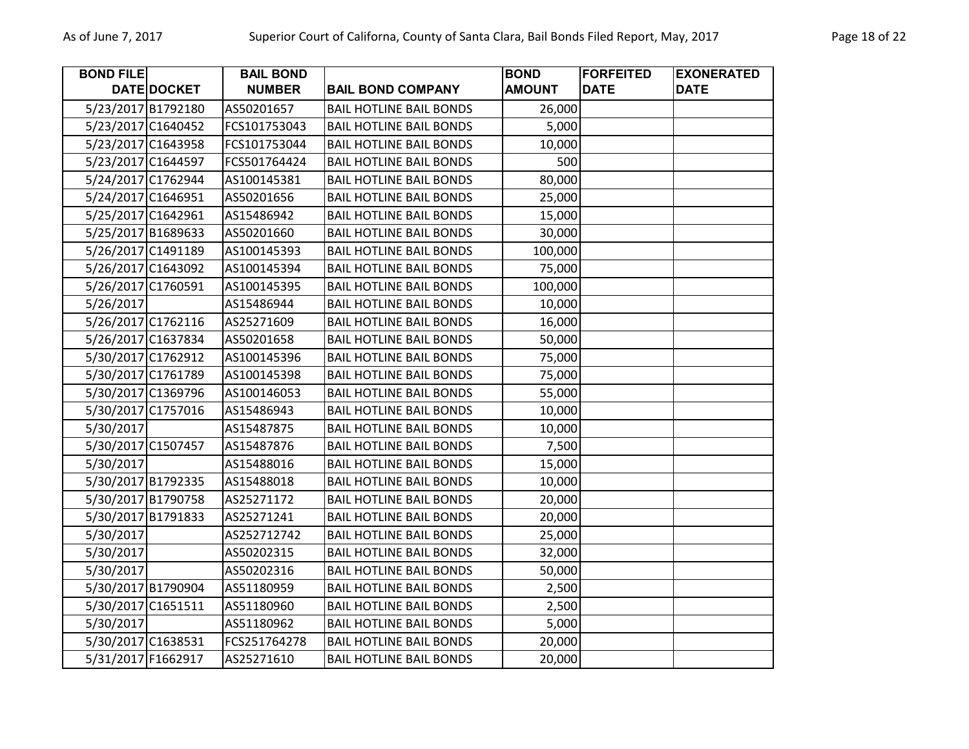| <b>BOND FILE</b>   |                    | <b>BAIL BOND</b> |                                | <b>BOND</b>   | <b>FORFEITED</b> | <b>EXONERATED</b> |
|--------------------|--------------------|------------------|--------------------------------|---------------|------------------|-------------------|
|                    | DATE DOCKET        | <b>NUMBER</b>    | <b>BAIL BOND COMPANY</b>       | <b>AMOUNT</b> | <b>DATE</b>      | <b>DATE</b>       |
|                    | 5/23/2017 B1792180 | AS50201657       | <b>BAIL HOTLINE BAIL BONDS</b> | 26,000        |                  |                   |
|                    | 5/23/2017 C1640452 | FCS101753043     | <b>BAIL HOTLINE BAIL BONDS</b> | 5,000         |                  |                   |
|                    | 5/23/2017 C1643958 | FCS101753044     | <b>BAIL HOTLINE BAIL BONDS</b> | 10,000        |                  |                   |
| 5/23/2017 C1644597 |                    | FCS501764424     | <b>BAIL HOTLINE BAIL BONDS</b> | 500           |                  |                   |
|                    | 5/24/2017 C1762944 | AS100145381      | <b>BAIL HOTLINE BAIL BONDS</b> | 80,000        |                  |                   |
|                    | 5/24/2017 C1646951 | AS50201656       | <b>BAIL HOTLINE BAIL BONDS</b> | 25,000        |                  |                   |
| 5/25/2017 C1642961 |                    | AS15486942       | <b>BAIL HOTLINE BAIL BONDS</b> | 15,000        |                  |                   |
| 5/25/2017 B1689633 |                    | AS50201660       | <b>BAIL HOTLINE BAIL BONDS</b> | 30,000        |                  |                   |
| 5/26/2017 C1491189 |                    | AS100145393      | <b>BAIL HOTLINE BAIL BONDS</b> | 100,000       |                  |                   |
|                    | 5/26/2017 C1643092 | AS100145394      | <b>BAIL HOTLINE BAIL BONDS</b> | 75,000        |                  |                   |
|                    | 5/26/2017 C1760591 | AS100145395      | <b>BAIL HOTLINE BAIL BONDS</b> | 100,000       |                  |                   |
| 5/26/2017          |                    | AS15486944       | <b>BAIL HOTLINE BAIL BONDS</b> | 10,000        |                  |                   |
|                    | 5/26/2017 C1762116 | AS25271609       | <b>BAIL HOTLINE BAIL BONDS</b> | 16,000        |                  |                   |
|                    | 5/26/2017 C1637834 | AS50201658       | <b>BAIL HOTLINE BAIL BONDS</b> | 50,000        |                  |                   |
|                    | 5/30/2017 C1762912 | AS100145396      | <b>BAIL HOTLINE BAIL BONDS</b> | 75,000        |                  |                   |
|                    | 5/30/2017 C1761789 | AS100145398      | <b>BAIL HOTLINE BAIL BONDS</b> | 75,000        |                  |                   |
|                    | 5/30/2017 C1369796 | AS100146053      | <b>BAIL HOTLINE BAIL BONDS</b> | 55,000        |                  |                   |
| 5/30/2017 C1757016 |                    | AS15486943       | <b>BAIL HOTLINE BAIL BONDS</b> | 10,000        |                  |                   |
| 5/30/2017          |                    | AS15487875       | <b>BAIL HOTLINE BAIL BONDS</b> | 10,000        |                  |                   |
| 5/30/2017 C1507457 |                    | AS15487876       | <b>BAIL HOTLINE BAIL BONDS</b> | 7,500         |                  |                   |
| 5/30/2017          |                    | AS15488016       | <b>BAIL HOTLINE BAIL BONDS</b> | 15,000        |                  |                   |
|                    | 5/30/2017 B1792335 | AS15488018       | <b>BAIL HOTLINE BAIL BONDS</b> | 10,000        |                  |                   |
|                    | 5/30/2017 B1790758 | AS25271172       | <b>BAIL HOTLINE BAIL BONDS</b> | 20,000        |                  |                   |
| 5/30/2017 B1791833 |                    | AS25271241       | <b>BAIL HOTLINE BAIL BONDS</b> | 20,000        |                  |                   |
| 5/30/2017          |                    | AS252712742      | <b>BAIL HOTLINE BAIL BONDS</b> | 25,000        |                  |                   |
| 5/30/2017          |                    | AS50202315       | <b>BAIL HOTLINE BAIL BONDS</b> | 32,000        |                  |                   |
| 5/30/2017          |                    | AS50202316       | <b>BAIL HOTLINE BAIL BONDS</b> | 50,000        |                  |                   |
|                    | 5/30/2017 B1790904 | AS51180959       | <b>BAIL HOTLINE BAIL BONDS</b> | 2,500         |                  |                   |
| 5/30/2017 C1651511 |                    | AS51180960       | <b>BAIL HOTLINE BAIL BONDS</b> | 2,500         |                  |                   |
| 5/30/2017          |                    | AS51180962       | <b>BAIL HOTLINE BAIL BONDS</b> | 5,000         |                  |                   |
|                    | 5/30/2017 C1638531 | FCS251764278     | <b>BAIL HOTLINE BAIL BONDS</b> | 20,000        |                  |                   |
|                    | 5/31/2017 F1662917 | AS25271610       | <b>BAIL HOTLINE BAIL BONDS</b> | 20,000        |                  |                   |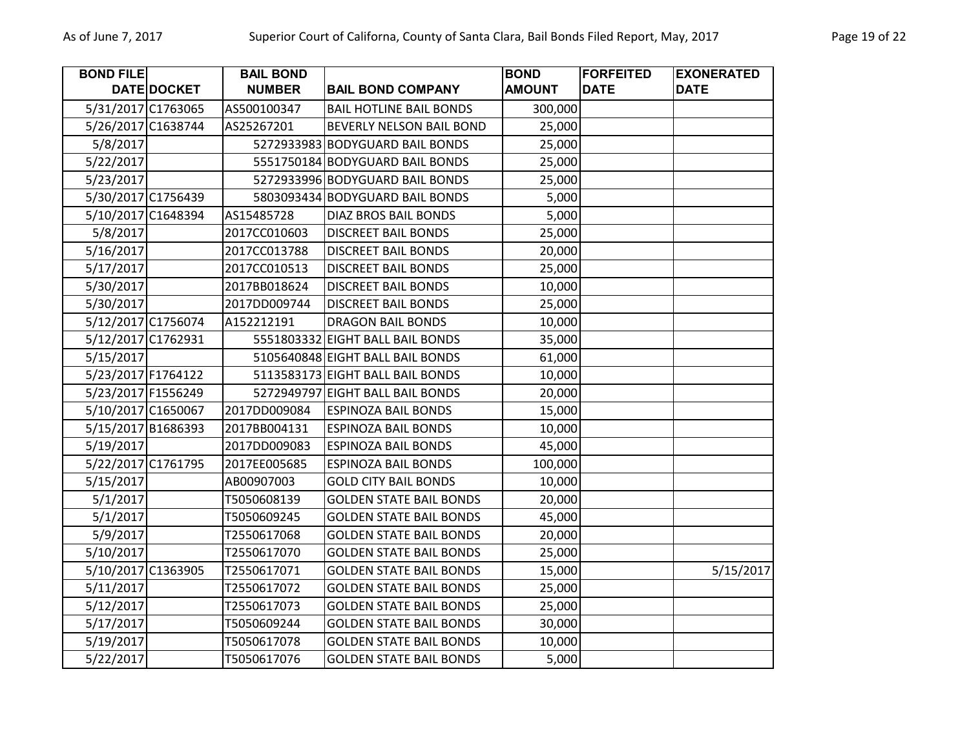| <b>BOND FILE</b> |                    | <b>BAIL BOND</b> |                                  | <b>BOND</b>   | <b>FORFEITED</b> | <b>EXONERATED</b> |
|------------------|--------------------|------------------|----------------------------------|---------------|------------------|-------------------|
|                  | DATE DOCKET        | <b>NUMBER</b>    | <b>BAIL BOND COMPANY</b>         | <b>AMOUNT</b> | <b>DATE</b>      | <b>DATE</b>       |
|                  | 5/31/2017 C1763065 | AS500100347      | <b>BAIL HOTLINE BAIL BONDS</b>   | 300,000       |                  |                   |
|                  | 5/26/2017 C1638744 | AS25267201       | BEVERLY NELSON BAIL BOND         | 25,000        |                  |                   |
| 5/8/2017         |                    |                  | 5272933983 BODYGUARD BAIL BONDS  | 25,000        |                  |                   |
| 5/22/2017        |                    |                  | 5551750184 BODYGUARD BAIL BONDS  | 25,000        |                  |                   |
| 5/23/2017        |                    |                  | 5272933996 BODYGUARD BAIL BONDS  | 25,000        |                  |                   |
|                  | 5/30/2017 C1756439 |                  | 5803093434 BODYGUARD BAIL BONDS  | 5,000         |                  |                   |
|                  | 5/10/2017 C1648394 | AS15485728       | <b>DIAZ BROS BAIL BONDS</b>      | 5,000         |                  |                   |
| 5/8/2017         |                    | 2017CC010603     | <b>DISCREET BAIL BONDS</b>       | 25,000        |                  |                   |
| 5/16/2017        |                    | 2017CC013788     | <b>DISCREET BAIL BONDS</b>       | 20,000        |                  |                   |
| 5/17/2017        |                    | 2017CC010513     | <b>DISCREET BAIL BONDS</b>       | 25,000        |                  |                   |
| 5/30/2017        |                    | 2017BB018624     | <b>DISCREET BAIL BONDS</b>       | 10,000        |                  |                   |
| 5/30/2017        |                    | 2017DD009744     | <b>DISCREET BAIL BONDS</b>       | 25,000        |                  |                   |
|                  | 5/12/2017 C1756074 | A152212191       | <b>DRAGON BAIL BONDS</b>         | 10,000        |                  |                   |
|                  | 5/12/2017 C1762931 |                  | 5551803332 EIGHT BALL BAIL BONDS | 35,000        |                  |                   |
| 5/15/2017        |                    |                  | 5105640848 EIGHT BALL BAIL BONDS | 61,000        |                  |                   |
|                  | 5/23/2017 F1764122 |                  | 5113583173 EIGHT BALL BAIL BONDS | 10,000        |                  |                   |
|                  | 5/23/2017 F1556249 |                  | 5272949797 EIGHT BALL BAIL BONDS | 20,000        |                  |                   |
|                  | 5/10/2017 C1650067 | 2017DD009084     | <b>ESPINOZA BAIL BONDS</b>       | 15,000        |                  |                   |
|                  | 5/15/2017 B1686393 | 2017BB004131     | <b>ESPINOZA BAIL BONDS</b>       | 10,000        |                  |                   |
| 5/19/2017        |                    | 2017DD009083     | <b>ESPINOZA BAIL BONDS</b>       | 45,000        |                  |                   |
|                  | 5/22/2017 C1761795 | 2017EE005685     | <b>ESPINOZA BAIL BONDS</b>       | 100,000       |                  |                   |
| 5/15/2017        |                    | AB00907003       | <b>GOLD CITY BAIL BONDS</b>      | 10,000        |                  |                   |
| 5/1/2017         |                    | T5050608139      | <b>GOLDEN STATE BAIL BONDS</b>   | 20,000        |                  |                   |
| 5/1/2017         |                    | T5050609245      | <b>GOLDEN STATE BAIL BONDS</b>   | 45,000        |                  |                   |
| 5/9/2017         |                    | T2550617068      | <b>GOLDEN STATE BAIL BONDS</b>   | 20,000        |                  |                   |
| 5/10/2017        |                    | T2550617070      | <b>GOLDEN STATE BAIL BONDS</b>   | 25,000        |                  |                   |
|                  | 5/10/2017 C1363905 | T2550617071      | <b>GOLDEN STATE BAIL BONDS</b>   | 15,000        |                  | 5/15/2017         |
| 5/11/2017        |                    | T2550617072      | <b>GOLDEN STATE BAIL BONDS</b>   | 25,000        |                  |                   |
| 5/12/2017        |                    | T2550617073      | <b>GOLDEN STATE BAIL BONDS</b>   | 25,000        |                  |                   |
| 5/17/2017        |                    | T5050609244      | <b>GOLDEN STATE BAIL BONDS</b>   | 30,000        |                  |                   |
| 5/19/2017        |                    | T5050617078      | <b>GOLDEN STATE BAIL BONDS</b>   | 10,000        |                  |                   |
| 5/22/2017        |                    | T5050617076      | <b>GOLDEN STATE BAIL BONDS</b>   | 5,000         |                  |                   |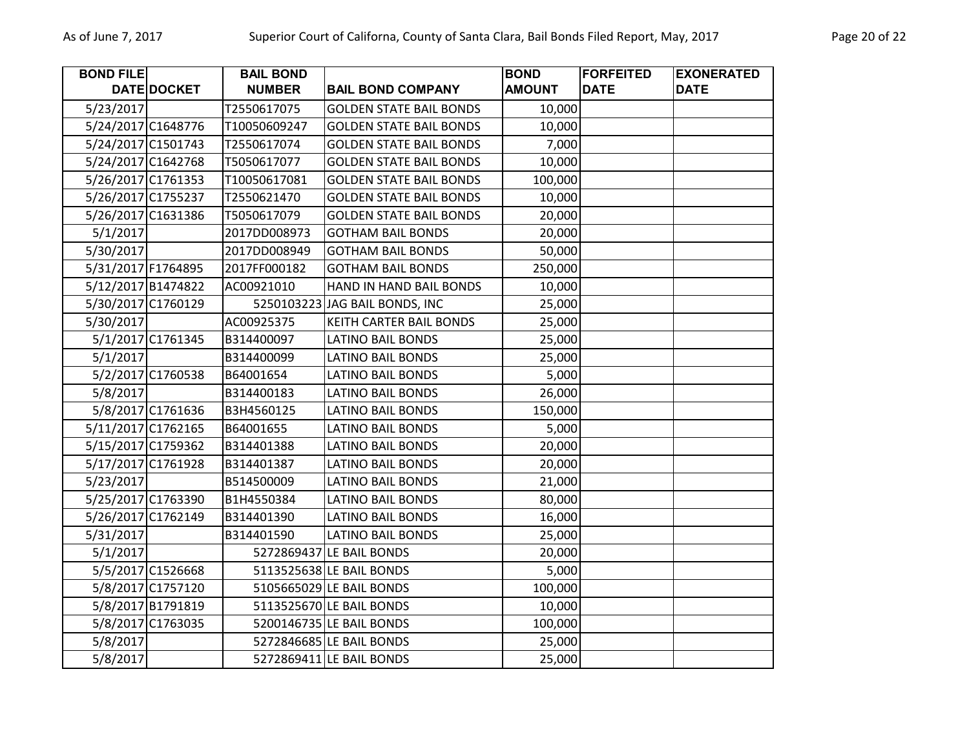| <b>BOND FILE</b>   |                    | <b>BAIL BOND</b> |                                | <b>BOND</b>   | <b>FORFEITED</b> | <b>EXONERATED</b> |
|--------------------|--------------------|------------------|--------------------------------|---------------|------------------|-------------------|
|                    | DATE DOCKET        | <b>NUMBER</b>    | <b>BAIL BOND COMPANY</b>       | <b>AMOUNT</b> | <b>DATE</b>      | <b>DATE</b>       |
| 5/23/2017          |                    | T2550617075      | <b>GOLDEN STATE BAIL BONDS</b> | 10,000        |                  |                   |
|                    | 5/24/2017 C1648776 | T10050609247     | <b>GOLDEN STATE BAIL BONDS</b> | 10,000        |                  |                   |
|                    | 5/24/2017 C1501743 | T2550617074      | <b>GOLDEN STATE BAIL BONDS</b> | 7,000         |                  |                   |
|                    | 5/24/2017 C1642768 | T5050617077      | <b>GOLDEN STATE BAIL BONDS</b> | 10,000        |                  |                   |
|                    | 5/26/2017 C1761353 | T10050617081     | <b>GOLDEN STATE BAIL BONDS</b> | 100,000       |                  |                   |
|                    | 5/26/2017 C1755237 | T2550621470      | <b>GOLDEN STATE BAIL BONDS</b> | 10,000        |                  |                   |
|                    | 5/26/2017 C1631386 | T5050617079      | <b>GOLDEN STATE BAIL BONDS</b> | 20,000        |                  |                   |
| 5/1/2017           |                    | 2017DD008973     | <b>GOTHAM BAIL BONDS</b>       | 20,000        |                  |                   |
| 5/30/2017          |                    | 2017DD008949     | <b>GOTHAM BAIL BONDS</b>       | 50,000        |                  |                   |
| 5/31/2017 F1764895 |                    | 2017FF000182     | <b>GOTHAM BAIL BONDS</b>       | 250,000       |                  |                   |
|                    | 5/12/2017 B1474822 | AC00921010       | HAND IN HAND BAIL BONDS        | 10,000        |                  |                   |
|                    | 5/30/2017 C1760129 |                  | 5250103223 JAG BAIL BONDS, INC | 25,000        |                  |                   |
| 5/30/2017          |                    | AC00925375       | KEITH CARTER BAIL BONDS        | 25,000        |                  |                   |
|                    | 5/1/2017 C1761345  | B314400097       | <b>LATINO BAIL BONDS</b>       | 25,000        |                  |                   |
| 5/1/2017           |                    | B314400099       | LATINO BAIL BONDS              | 25,000        |                  |                   |
|                    | 5/2/2017 C1760538  | B64001654        | <b>LATINO BAIL BONDS</b>       | 5,000         |                  |                   |
| 5/8/2017           |                    | B314400183       | <b>LATINO BAIL BONDS</b>       | 26,000        |                  |                   |
|                    | 5/8/2017 C1761636  | B3H4560125       | <b>LATINO BAIL BONDS</b>       | 150,000       |                  |                   |
|                    | 5/11/2017 C1762165 | B64001655        | <b>LATINO BAIL BONDS</b>       | 5,000         |                  |                   |
|                    | 5/15/2017 C1759362 | B314401388       | LATINO BAIL BONDS              | 20,000        |                  |                   |
|                    | 5/17/2017 C1761928 | B314401387       | <b>LATINO BAIL BONDS</b>       | 20,000        |                  |                   |
| 5/23/2017          |                    | B514500009       | <b>LATINO BAIL BONDS</b>       | 21,000        |                  |                   |
|                    | 5/25/2017 C1763390 | B1H4550384       | <b>LATINO BAIL BONDS</b>       | 80,000        |                  |                   |
|                    | 5/26/2017 C1762149 | B314401390       | <b>LATINO BAIL BONDS</b>       | 16,000        |                  |                   |
| 5/31/2017          |                    | B314401590       | <b>LATINO BAIL BONDS</b>       | 25,000        |                  |                   |
| 5/1/2017           |                    |                  | 5272869437 LE BAIL BONDS       | 20,000        |                  |                   |
|                    | 5/5/2017 C1526668  |                  | 5113525638 LE BAIL BONDS       | 5,000         |                  |                   |
|                    | 5/8/2017 C1757120  |                  | 5105665029 LE BAIL BONDS       | 100,000       |                  |                   |
|                    | 5/8/2017 B1791819  |                  | 5113525670 LE BAIL BONDS       | 10,000        |                  |                   |
|                    | 5/8/2017 C1763035  |                  | 5200146735 LE BAIL BONDS       | 100,000       |                  |                   |
| 5/8/2017           |                    |                  | 5272846685 LE BAIL BONDS       | 25,000        |                  |                   |
| 5/8/2017           |                    |                  | 5272869411 LE BAIL BONDS       | 25,000        |                  |                   |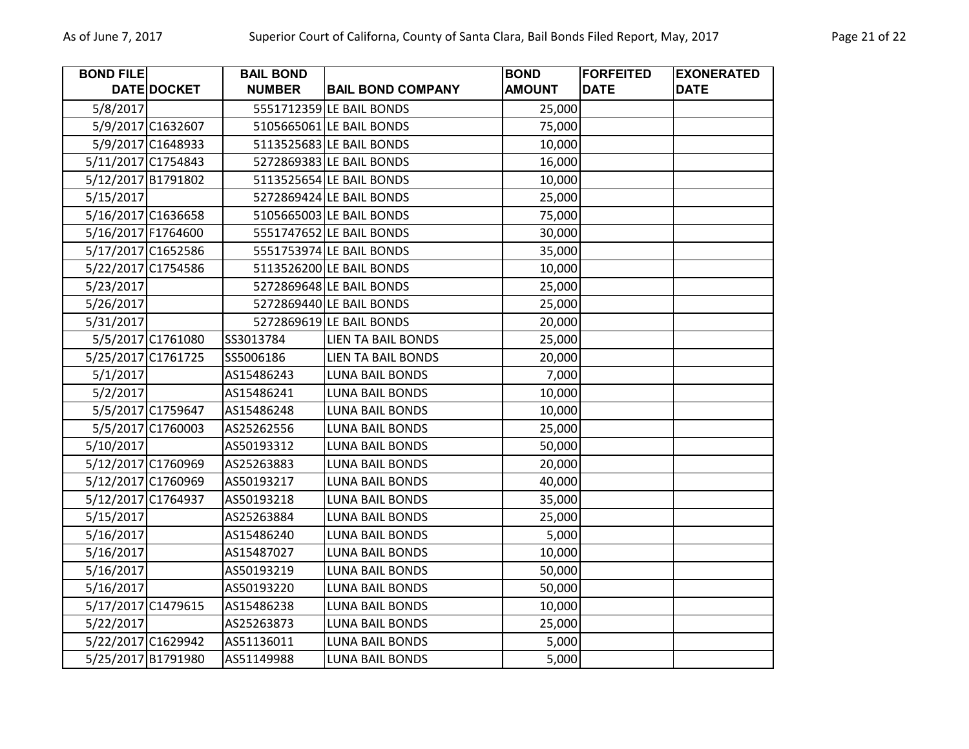| <b>BOND FILE</b> |                    | <b>BAIL BOND</b> |                           | <b>BOND</b>   | <b>FORFEITED</b> | <b>EXONERATED</b> |
|------------------|--------------------|------------------|---------------------------|---------------|------------------|-------------------|
|                  | DATE DOCKET        | <b>NUMBER</b>    | <b>BAIL BOND COMPANY</b>  | <b>AMOUNT</b> | <b>DATE</b>      | <b>DATE</b>       |
| 5/8/2017         |                    |                  | 5551712359 LE BAIL BONDS  | 25,000        |                  |                   |
|                  | 5/9/2017 C1632607  |                  | 5105665061 LE BAIL BONDS  | 75,000        |                  |                   |
|                  | 5/9/2017 C1648933  |                  | 5113525683 LE BAIL BONDS  | 10,000        |                  |                   |
|                  | 5/11/2017 C1754843 |                  | 5272869383 LE BAIL BONDS  | 16,000        |                  |                   |
|                  | 5/12/2017 B1791802 |                  | 5113525654 LE BAIL BONDS  | 10,000        |                  |                   |
| 5/15/2017        |                    |                  | 5272869424 LE BAIL BONDS  | 25,000        |                  |                   |
|                  | 5/16/2017 C1636658 |                  | 5105665003 LE BAIL BONDS  | 75,000        |                  |                   |
|                  | 5/16/2017 F1764600 |                  | 5551747652 LE BAIL BONDS  | 30,000        |                  |                   |
|                  | 5/17/2017 C1652586 |                  | 5551753974 LE BAIL BONDS  | 35,000        |                  |                   |
|                  | 5/22/2017 C1754586 |                  | 5113526200 LE BAIL BONDS  | 10,000        |                  |                   |
| 5/23/2017        |                    |                  | 5272869648 LE BAIL BONDS  | 25,000        |                  |                   |
| 5/26/2017        |                    |                  | 5272869440 LE BAIL BONDS  | 25,000        |                  |                   |
| 5/31/2017        |                    |                  | 5272869619 LE BAIL BONDS  | 20,000        |                  |                   |
|                  | 5/5/2017 C1761080  | SS3013784        | <b>LIEN TA BAIL BONDS</b> | 25,000        |                  |                   |
|                  | 5/25/2017 C1761725 | SS5006186        | <b>LIEN TA BAIL BONDS</b> | 20,000        |                  |                   |
| 5/1/2017         |                    | AS15486243       | <b>LUNA BAIL BONDS</b>    | 7,000         |                  |                   |
| 5/2/2017         |                    | AS15486241       | <b>LUNA BAIL BONDS</b>    | 10,000        |                  |                   |
|                  | 5/5/2017 C1759647  | AS15486248       | <b>LUNA BAIL BONDS</b>    | 10,000        |                  |                   |
|                  | 5/5/2017 C1760003  | AS25262556       | <b>LUNA BAIL BONDS</b>    | 25,000        |                  |                   |
| 5/10/2017        |                    | AS50193312       | <b>LUNA BAIL BONDS</b>    | 50,000        |                  |                   |
|                  | 5/12/2017 C1760969 | AS25263883       | <b>LUNA BAIL BONDS</b>    | 20,000        |                  |                   |
|                  | 5/12/2017 C1760969 | AS50193217       | <b>LUNA BAIL BONDS</b>    | 40,000        |                  |                   |
|                  | 5/12/2017 C1764937 | AS50193218       | <b>LUNA BAIL BONDS</b>    | 35,000        |                  |                   |
| 5/15/2017        |                    | AS25263884       | <b>LUNA BAIL BONDS</b>    | 25,000        |                  |                   |
| 5/16/2017        |                    | AS15486240       | <b>LUNA BAIL BONDS</b>    | 5,000         |                  |                   |
| 5/16/2017        |                    | AS15487027       | <b>LUNA BAIL BONDS</b>    | 10,000        |                  |                   |
| 5/16/2017        |                    | AS50193219       | LUNA BAIL BONDS           | 50,000        |                  |                   |
| 5/16/2017        |                    | AS50193220       | <b>LUNA BAIL BONDS</b>    | 50,000        |                  |                   |
|                  | 5/17/2017 C1479615 | AS15486238       | <b>LUNA BAIL BONDS</b>    | 10,000        |                  |                   |
| 5/22/2017        |                    | AS25263873       | <b>LUNA BAIL BONDS</b>    | 25,000        |                  |                   |
|                  | 5/22/2017 C1629942 | AS51136011       | LUNA BAIL BONDS           | 5,000         |                  |                   |
|                  | 5/25/2017 B1791980 | AS51149988       | <b>LUNA BAIL BONDS</b>    | 5,000         |                  |                   |